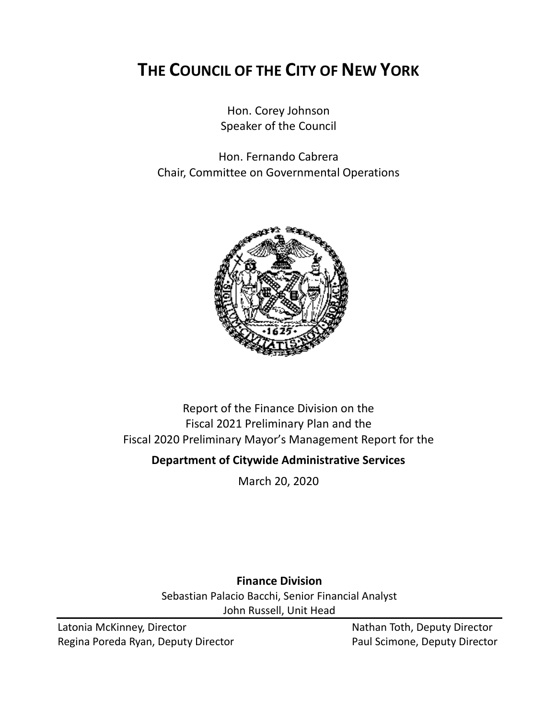# **THE COUNCIL OF THE CITY OF NEW YORK**

Hon. Corey Johnson Speaker of the Council

Hon. Fernando Cabrera Chair, Committee on Governmental Operations



# Report of the Finance Division on the Fiscal 2021 Preliminary Plan and the Fiscal 2020 Preliminary Mayor's Management Report for the

# **Department of Citywide Administrative Services**

March 20, 2020

**Finance Division**

Sebastian Palacio Bacchi, Senior Financial Analyst John Russell, Unit Head

Latonia McKinney, Director Nathan Toth, Deputy Director Regina Poreda Ryan, Deputy Director **Paul Scimone, Deputy Director**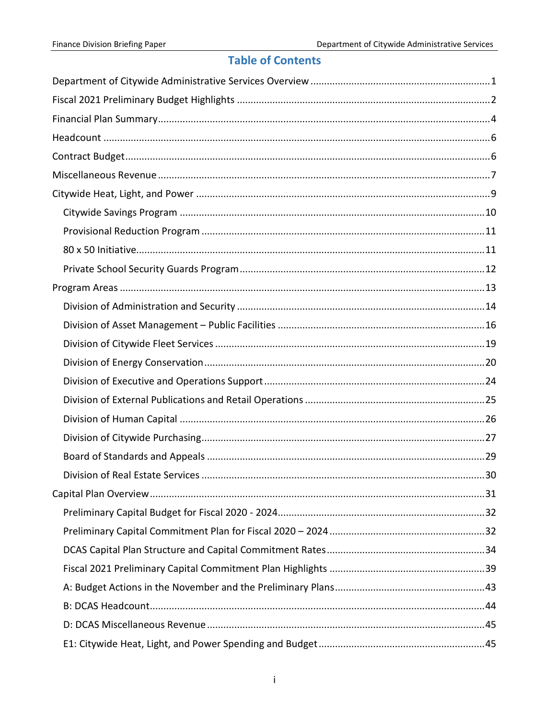# **Table of Contents**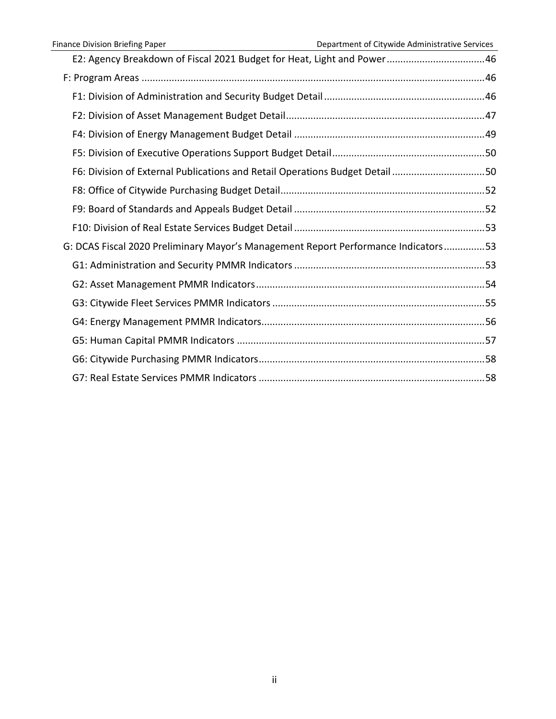| E2: Agency Breakdown of Fiscal 2021 Budget for Heat, Light and Power46             |  |
|------------------------------------------------------------------------------------|--|
|                                                                                    |  |
|                                                                                    |  |
|                                                                                    |  |
|                                                                                    |  |
|                                                                                    |  |
| F6: Division of External Publications and Retail Operations Budget Detail 50       |  |
|                                                                                    |  |
|                                                                                    |  |
|                                                                                    |  |
| G: DCAS Fiscal 2020 Preliminary Mayor's Management Report Performance Indicators53 |  |
|                                                                                    |  |
|                                                                                    |  |
|                                                                                    |  |
|                                                                                    |  |
|                                                                                    |  |
|                                                                                    |  |
|                                                                                    |  |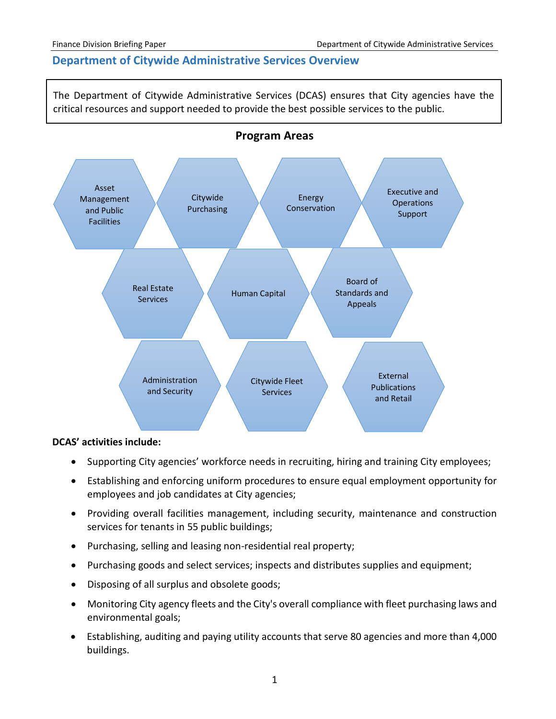# <span id="page-3-0"></span>**Department of Citywide Administrative Services Overview**

The Department of Citywide Administrative Services (DCAS) ensures that City agencies have the critical resources and support needed to provide the best possible services to the public.





#### **DCAS' activities include:**

- Supporting City agencies' workforce needs in recruiting, hiring and training City employees;
- Establishing and enforcing uniform procedures to ensure equal employment opportunity for employees and job candidates at City agencies;
- Providing overall facilities management, including security, maintenance and construction services for tenants in 55 public buildings;
- Purchasing, selling and leasing non-residential real property;
- Purchasing goods and select services; inspects and distributes supplies and equipment;
- Disposing of all surplus and obsolete goods;
- Monitoring City agency fleets and the City's overall compliance with fleet purchasing laws and environmental goals;
- Establishing, auditing and paying utility accounts that serve 80 agencies and more than 4,000 buildings.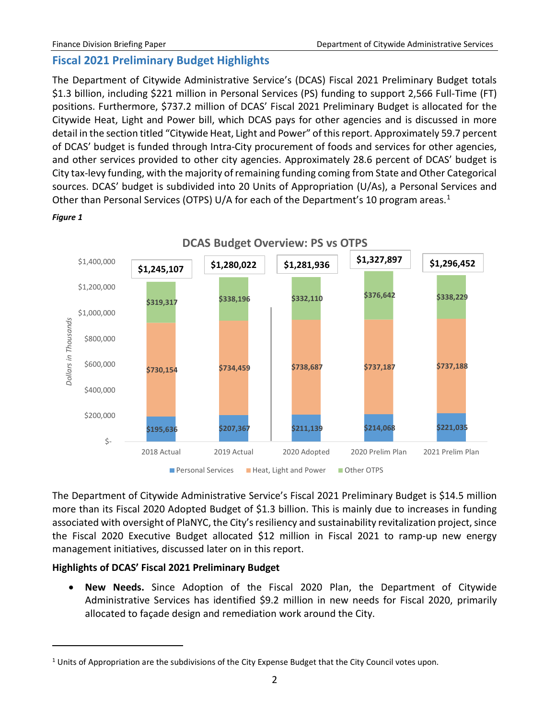# <span id="page-4-0"></span>**Fiscal 2021 Preliminary Budget Highlights**

The Department of Citywide Administrative Service's (DCAS) Fiscal 2021 Preliminary Budget totals \$1.3 billion, including \$221 million in Personal Services (PS) funding to support 2,566 Full-Time (FT) positions. Furthermore, \$737.2 million of DCAS' Fiscal 2021 Preliminary Budget is allocated for the Citywide Heat, Light and Power bill, which DCAS pays for other agencies and is discussed in more detail in the section titled "Citywide Heat, Light and Power" of this report. Approximately 59.7 percent of DCAS' budget is funded through Intra-City procurement of foods and services for other agencies, and other services provided to other city agencies. Approximately 28.6 percent of DCAS' budget is City tax-levy funding, with the majority of remaining funding coming from State and Other Categorical sources. DCAS' budget is subdivided into 20 Units of Appropriation (U/As), a Personal Services and Other than Personal Services (OTPS) U/A for each of the Department's [1](#page-4-1)0 program areas.<sup>1</sup>



 $\overline{a}$ 



The Department of Citywide Administrative Service's Fiscal 2021 Preliminary Budget is \$14.5 million more than its Fiscal 2020 Adopted Budget of \$1.3 billion. This is mainly due to increases in funding associated with oversight of PlaNYC, the City's resiliency and sustainability revitalization project, since the Fiscal 2020 Executive Budget allocated \$12 million in Fiscal 2021 to ramp-up new energy management initiatives, discussed later on in this report.

# **Highlights of DCAS' Fiscal 2021 Preliminary Budget**

• **New Needs.** Since Adoption of the Fiscal 2020 Plan, the Department of Citywide Administrative Services has identified \$9.2 million in new needs for Fiscal 2020, primarily allocated to façade design and remediation work around the City.

<span id="page-4-1"></span><sup>&</sup>lt;sup>1</sup> Units of Appropriation are the subdivisions of the City Expense Budget that the City Council votes upon.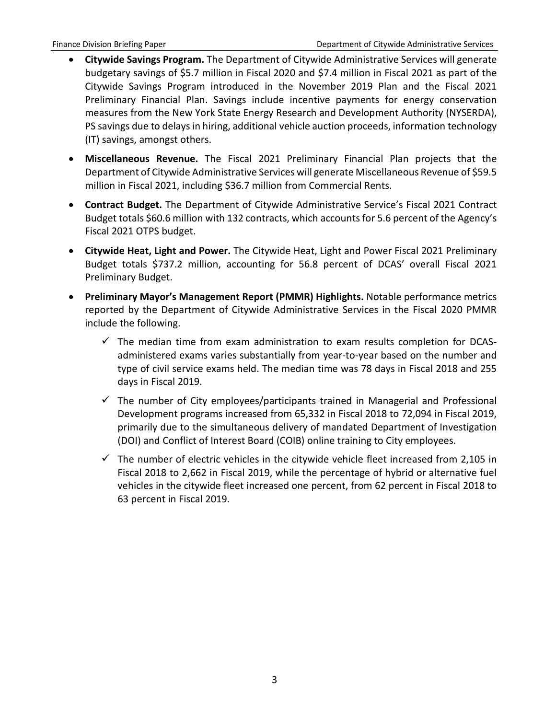- **Citywide Savings Program.** The Department of Citywide Administrative Services will generate budgetary savings of \$5.7 million in Fiscal 2020 and \$7.4 million in Fiscal 2021 as part of the Citywide Savings Program introduced in the November 2019 Plan and the Fiscal 2021 Preliminary Financial Plan. Savings include incentive payments for energy conservation measures from the New York State Energy Research and Development Authority (NYSERDA), PS savings due to delays in hiring, additional vehicle auction proceeds, information technology (IT) savings, amongst others.
- **Miscellaneous Revenue.** The Fiscal 2021 Preliminary Financial Plan projects that the Department of Citywide Administrative Services will generate Miscellaneous Revenue of \$59.5 million in Fiscal 2021, including \$36.7 million from Commercial Rents.
- **Contract Budget.** The Department of Citywide Administrative Service's Fiscal 2021 Contract Budget totals \$60.6 million with 132 contracts, which accounts for 5.6 percent of the Agency's Fiscal 2021 OTPS budget.
- **Citywide Heat, Light and Power.** The Citywide Heat, Light and Power Fiscal 2021 Preliminary Budget totals \$737.2 million, accounting for 56.8 percent of DCAS' overall Fiscal 2021 Preliminary Budget.
- **Preliminary Mayor's Management Report (PMMR) Highlights.** Notable performance metrics reported by the Department of Citywide Administrative Services in the Fiscal 2020 PMMR include the following.
	- $\checkmark$  The median time from exam administration to exam results completion for DCASadministered exams varies substantially from year-to-year based on the number and type of civil service exams held. The median time was 78 days in Fiscal 2018 and 255 days in Fiscal 2019.
	- $\checkmark$  The number of City employees/participants trained in Managerial and Professional Development programs increased from 65,332 in Fiscal 2018 to 72,094 in Fiscal 2019, primarily due to the simultaneous delivery of mandated Department of Investigation (DOI) and Conflict of Interest Board (COIB) online training to City employees.
	- $\checkmark$  The number of electric vehicles in the citywide vehicle fleet increased from 2,105 in Fiscal 2018 to 2,662 in Fiscal 2019, while the percentage of hybrid or alternative fuel vehicles in the citywide fleet increased one percent, from 62 percent in Fiscal 2018 to 63 percent in Fiscal 2019.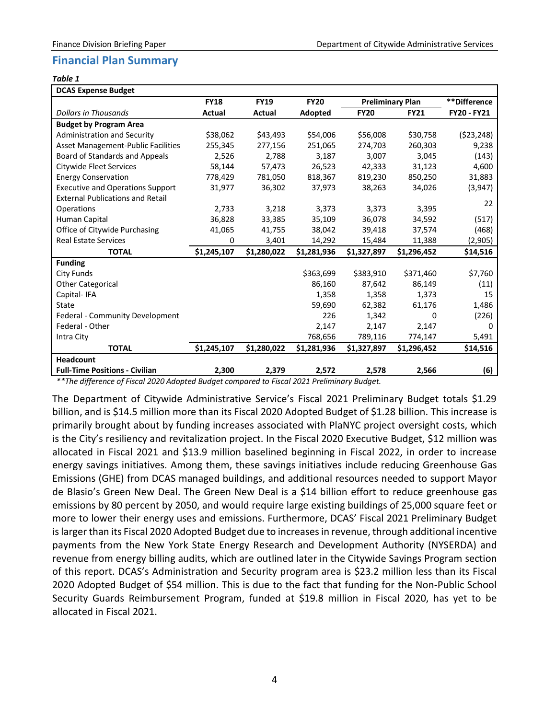# <span id="page-6-0"></span>**Financial Plan Summary**

#### *Table 1*

| <b>DCAS Expense Budget</b>                |             |             |             |                         |             |                    |
|-------------------------------------------|-------------|-------------|-------------|-------------------------|-------------|--------------------|
|                                           | <b>FY18</b> | <b>FY19</b> | <b>FY20</b> | <b>Preliminary Plan</b> |             | **Difference       |
| <b>Dollars in Thousands</b>               | Actual      | Actual      | Adopted     | <b>FY20</b>             | <b>FY21</b> | <b>FY20 - FY21</b> |
| <b>Budget by Program Area</b>             |             |             |             |                         |             |                    |
| Administration and Security               | \$38,062    | \$43,493    | \$54,006    | \$56,008                | \$30,758    | (523, 248)         |
| <b>Asset Management-Public Facilities</b> | 255,345     | 277,156     | 251,065     | 274,703                 | 260,303     | 9,238              |
| Board of Standards and Appeals            | 2,526       | 2,788       | 3,187       | 3,007                   | 3,045       | (143)              |
| Citywide Fleet Services                   | 58,144      | 57,473      | 26,523      | 42,333                  | 31,123      | 4,600              |
| <b>Energy Conservation</b>                | 778,429     | 781,050     | 818,367     | 819,230                 | 850,250     | 31,883             |
| <b>Executive and Operations Support</b>   | 31,977      | 36,302      | 37,973      | 38,263                  | 34,026      | (3,947)            |
| <b>External Publications and Retail</b>   |             |             |             |                         |             | 22                 |
| Operations                                | 2,733       | 3,218       | 3,373       | 3,373                   | 3,395       |                    |
| Human Capital                             | 36,828      | 33,385      | 35,109      | 36,078                  | 34,592      | (517)              |
| Office of Citywide Purchasing             | 41,065      | 41,755      | 38,042      | 39,418                  | 37,574      | (468)              |
| <b>Real Estate Services</b>               | 0           | 3,401       | 14,292      | 15,484                  | 11,388      | (2,905)            |
| <b>TOTAL</b>                              | \$1,245,107 | \$1,280,022 | \$1,281,936 | \$1,327,897             | \$1,296,452 | \$14,516           |
| <b>Funding</b>                            |             |             |             |                         |             |                    |
| <b>City Funds</b>                         |             |             | \$363,699   | \$383,910               | \$371,460   | \$7,760            |
| <b>Other Categorical</b>                  |             |             | 86,160      | 87,642                  | 86,149      | (11)               |
| Capital-IFA                               |             |             | 1,358       | 1,358                   | 1,373       | 15                 |
| State                                     |             |             | 59,690      | 62,382                  | 61,176      | 1,486              |
| Federal - Community Development           |             |             | 226         | 1,342                   | 0           | (226)              |
| Federal - Other                           |             |             | 2,147       | 2,147                   | 2,147       | <sup>0</sup>       |
| Intra City                                |             |             | 768,656     | 789,116                 | 774,147     | 5,491              |
| <b>TOTAL</b>                              | \$1,245,107 | \$1,280,022 | \$1,281,936 | \$1,327,897             | \$1,296,452 | \$14,516           |
| Headcount                                 |             |             |             |                         |             |                    |
| <b>Full-Time Positions - Civilian</b>     | 2,300       | 2,379       | 2,572       | 2,578                   | 2,566       | (6)                |

*\*\*The difference of Fiscal 2020 Adopted Budget compared to Fiscal 2021 Preliminary Budget.*

The Department of Citywide Administrative Service's Fiscal 2021 Preliminary Budget totals \$1.29 billion, and is \$14.5 million more than its Fiscal 2020 Adopted Budget of \$1.28 billion. This increase is primarily brought about by funding increases associated with PlaNYC project oversight costs, which is the City's resiliency and revitalization project. In the Fiscal 2020 Executive Budget, \$12 million was allocated in Fiscal 2021 and \$13.9 million baselined beginning in Fiscal 2022, in order to increase energy savings initiatives. Among them, these savings initiatives include reducing Greenhouse Gas Emissions (GHE) from DCAS managed buildings, and additional resources needed to support Mayor de Blasio's Green New Deal. The Green New Deal is a \$14 billion effort to reduce greenhouse gas emissions by 80 percent by 2050, and would require large existing buildings of 25,000 square feet or more to lower their energy uses and emissions. Furthermore, DCAS' Fiscal 2021 Preliminary Budget is larger than its Fiscal 2020 Adopted Budget due to increases in revenue, through additional incentive payments from the New York State Energy Research and Development Authority (NYSERDA) and revenue from energy billing audits, which are outlined later in the Citywide Savings Program section of this report. DCAS's Administration and Security program area is \$23.2 million less than its Fiscal 2020 Adopted Budget of \$54 million. This is due to the fact that funding for the Non-Public School Security Guards Reimbursement Program, funded at \$19.8 million in Fiscal 2020, has yet to be allocated in Fiscal 2021.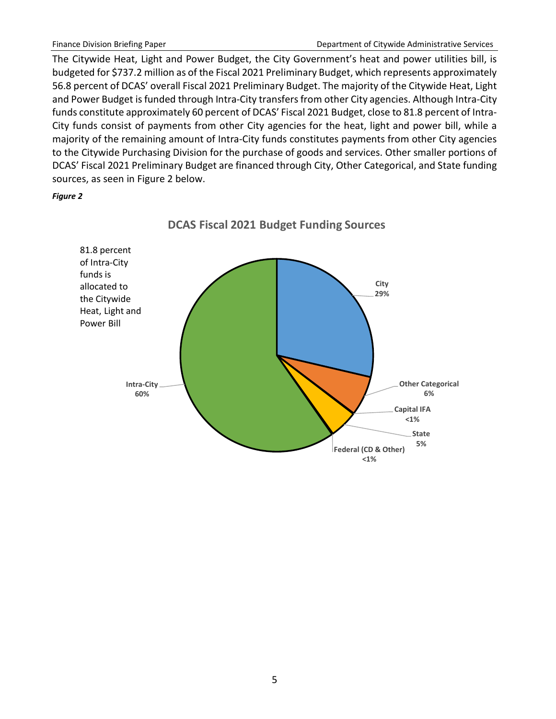The Citywide Heat, Light and Power Budget, the City Government's heat and power utilities bill, is budgeted for \$737.2 million as of the Fiscal 2021 Preliminary Budget, which represents approximately 56.8 percent of DCAS' overall Fiscal 2021 Preliminary Budget. The majority of the Citywide Heat, Light and Power Budget is funded through Intra-City transfers from other City agencies. Although Intra-City funds constitute approximately 60 percent of DCAS' Fiscal 2021 Budget, close to 81.8 percent of Intra-City funds consist of payments from other City agencies for the heat, light and power bill, while a majority of the remaining amount of Intra-City funds constitutes payments from other City agencies to the Citywide Purchasing Division for the purchase of goods and services. Other smaller portions of DCAS' Fiscal 2021 Preliminary Budget are financed through City, Other Categorical, and State funding sources, as seen in Figure 2 below.

*Figure 2*



**DCAS Fiscal 2021 Budget Funding Sources**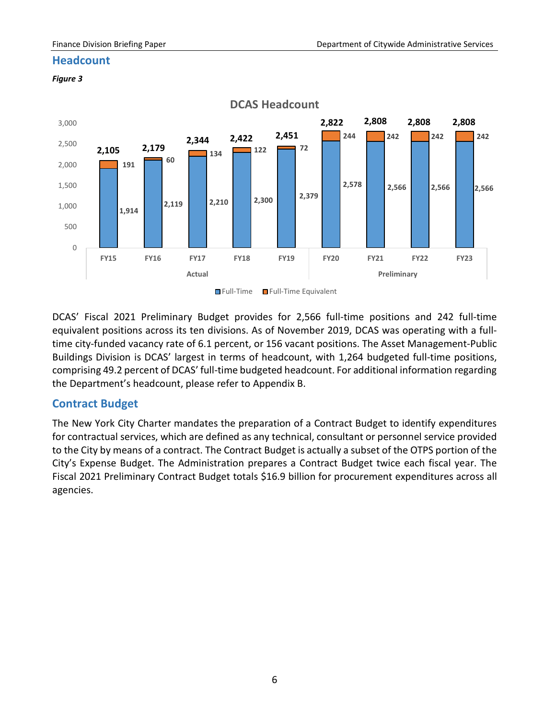# <span id="page-8-0"></span>**Headcount**

#### *Figure 3*



DCAS' Fiscal 2021 Preliminary Budget provides for 2,566 full-time positions and 242 full-time equivalent positions across its ten divisions. As of November 2019, DCAS was operating with a fulltime city-funded vacancy rate of 6.1 percent, or 156 vacant positions. The Asset Management-Public Buildings Division is DCAS' largest in terms of headcount, with 1,264 budgeted full-time positions, comprising 49.2 percent of DCAS' full-time budgeted headcount. For additional information regarding the Department's headcount, please refer to Appendix B.

# <span id="page-8-1"></span>**Contract Budget**

The New York City Charter mandates the preparation of a Contract Budget to identify expenditures for contractual services, which are defined as any technical, consultant or personnel service provided to the City by means of a contract. The Contract Budget is actually a subset of the OTPS portion of the City's Expense Budget. The Administration prepares a Contract Budget twice each fiscal year. The Fiscal 2021 Preliminary Contract Budget totals \$16.9 billion for procurement expenditures across all agencies.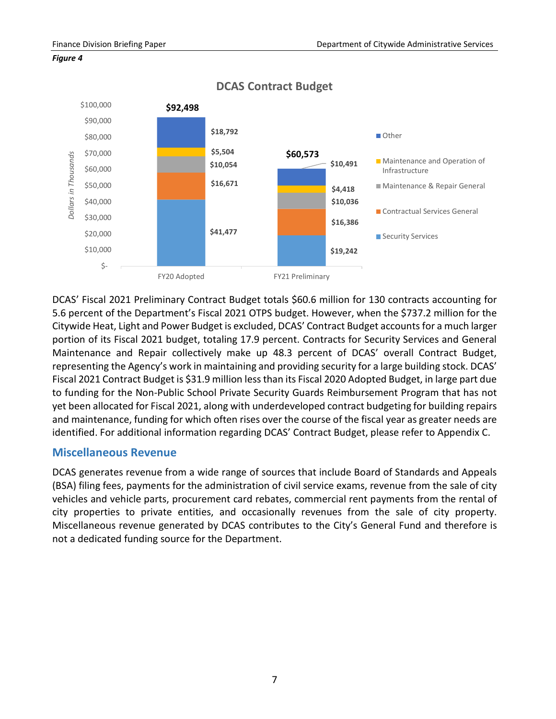



**DCAS Contract Budget**

DCAS' Fiscal 2021 Preliminary Contract Budget totals \$60.6 million for 130 contracts accounting for 5.6 percent of the Department's Fiscal 2021 OTPS budget. However, when the \$737.2 million for the Citywide Heat, Light and Power Budget is excluded, DCAS' Contract Budget accounts for a much larger portion of its Fiscal 2021 budget, totaling 17.9 percent. Contracts for Security Services and General Maintenance and Repair collectively make up 48.3 percent of DCAS' overall Contract Budget, representing the Agency's work in maintaining and providing security for a large building stock. DCAS' Fiscal 2021 Contract Budget is \$31.9 million less than its Fiscal 2020 Adopted Budget, in large part due to funding for the Non-Public School Private Security Guards Reimbursement Program that has not yet been allocated for Fiscal 2021, along with underdeveloped contract budgeting for building repairs and maintenance, funding for which often rises over the course of the fiscal year as greater needs are identified. For additional information regarding DCAS' Contract Budget, please refer to Appendix C.

# <span id="page-9-0"></span>**Miscellaneous Revenue**

DCAS generates revenue from a wide range of sources that include Board of Standards and Appeals (BSA) filing fees, payments for the administration of civil service exams, revenue from the sale of city vehicles and vehicle parts, procurement card rebates, commercial rent payments from the rental of city properties to private entities, and occasionally revenues from the sale of city property. Miscellaneous revenue generated by DCAS contributes to the City's General Fund and therefore is not a dedicated funding source for the Department.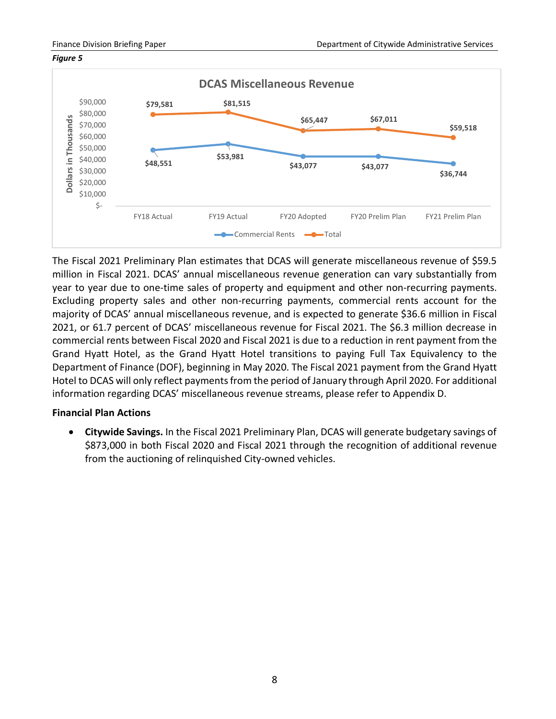#### *Figure 5*



The Fiscal 2021 Preliminary Plan estimates that DCAS will generate miscellaneous revenue of \$59.5 million in Fiscal 2021. DCAS' annual miscellaneous revenue generation can vary substantially from year to year due to one-time sales of property and equipment and other non-recurring payments. Excluding property sales and other non-recurring payments, commercial rents account for the majority of DCAS' annual miscellaneous revenue, and is expected to generate \$36.6 million in Fiscal 2021, or 61.7 percent of DCAS' miscellaneous revenue for Fiscal 2021. The \$6.3 million decrease in commercial rents between Fiscal 2020 and Fiscal 2021 is due to a reduction in rent payment from the Grand Hyatt Hotel, as the Grand Hyatt Hotel transitions to paying Full Tax Equivalency to the Department of Finance (DOF), beginning in May 2020. The Fiscal 2021 payment from the Grand Hyatt Hotel to DCAS will only reflect payments from the period of January through April 2020. For additional information regarding DCAS' miscellaneous revenue streams, please refer to Appendix D.

# **Financial Plan Actions**

• **Citywide Savings.** In the Fiscal 2021 Preliminary Plan, DCAS will generate budgetary savings of \$873,000 in both Fiscal 2020 and Fiscal 2021 through the recognition of additional revenue from the auctioning of relinquished City-owned vehicles.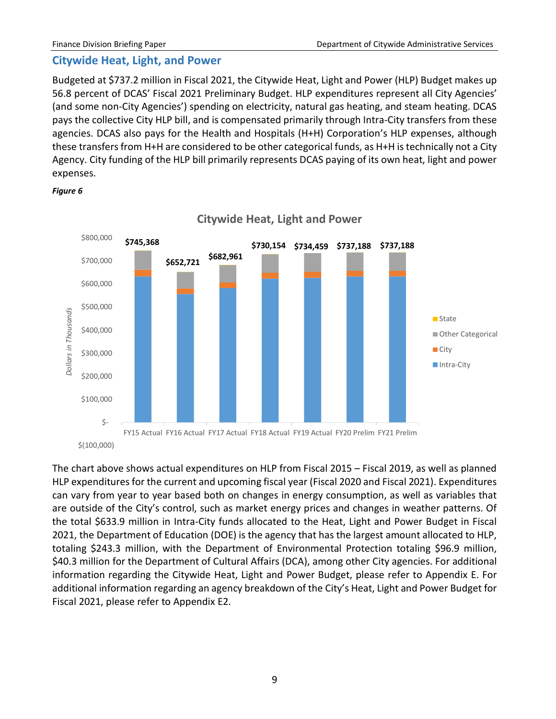# <span id="page-11-0"></span>**Citywide Heat, Light, and Power**

Budgeted at \$737.2 million in Fiscal 2021, the Citywide Heat, Light and Power (HLP) Budget makes up 56.8 percent of DCAS' Fiscal 2021 Preliminary Budget. HLP expenditures represent all City Agencies' (and some non-City Agencies') spending on electricity, natural gas heating, and steam heating. DCAS pays the collective City HLP bill, and is compensated primarily through Intra-City transfers from these agencies. DCAS also pays for the Health and Hospitals (H+H) Corporation's HLP expenses, although these transfers from H+H are considered to be other categorical funds, as H+H is technically not a City Agency. City funding of the HLP bill primarily represents DCAS paying of its own heat, light and power expenses.



*Figure 6*

The chart above shows actual expenditures on HLP from Fiscal 2015 – Fiscal 2019, as well as planned HLP expenditures for the current and upcoming fiscal year (Fiscal 2020 and Fiscal 2021). Expenditures can vary from year to year based both on changes in energy consumption, as well as variables that are outside of the City's control, such as market energy prices and changes in weather patterns. Of the total \$633.9 million in Intra-City funds allocated to the Heat, Light and Power Budget in Fiscal 2021, the Department of Education (DOE) is the agency that has the largest amount allocated to HLP, totaling \$243.3 million, with the Department of Environmental Protection totaling \$96.9 million, \$40.3 million for the Department of Cultural Affairs (DCA), among other City agencies. For additional information regarding the Citywide Heat, Light and Power Budget, please refer to Appendix E. For additional information regarding an agency breakdown of the City's Heat, Light and Power Budget for Fiscal 2021, please refer to Appendix E2.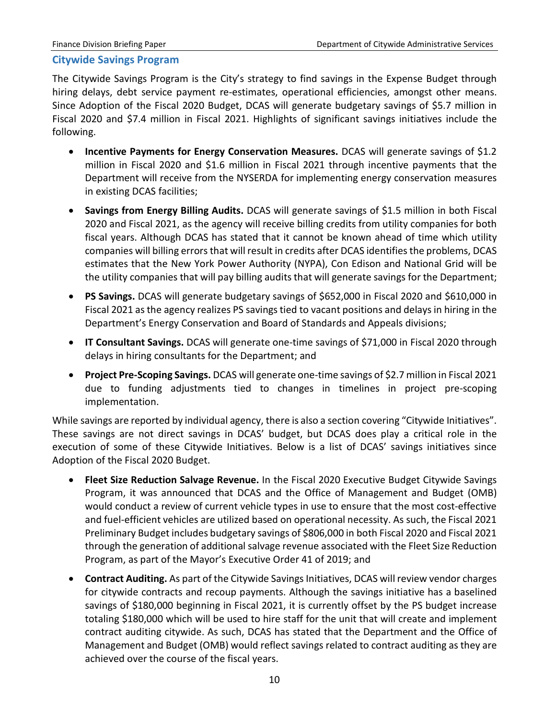# <span id="page-12-0"></span>**Citywide Savings Program**

The Citywide Savings Program is the City's strategy to find savings in the Expense Budget through hiring delays, debt service payment re-estimates, operational efficiencies, amongst other means. Since Adoption of the Fiscal 2020 Budget, DCAS will generate budgetary savings of \$5.7 million in Fiscal 2020 and \$7.4 million in Fiscal 2021. Highlights of significant savings initiatives include the following.

- **Incentive Payments for Energy Conservation Measures.** DCAS will generate savings of \$1.2 million in Fiscal 2020 and \$1.6 million in Fiscal 2021 through incentive payments that the Department will receive from the NYSERDA for implementing energy conservation measures in existing DCAS facilities;
- **Savings from Energy Billing Audits.** DCAS will generate savings of \$1.5 million in both Fiscal 2020 and Fiscal 2021, as the agency will receive billing credits from utility companies for both fiscal years. Although DCAS has stated that it cannot be known ahead of time which utility companies will billing errors that will result in credits after DCAS identifies the problems, DCAS estimates that the New York Power Authority (NYPA), Con Edison and National Grid will be the utility companies that will pay billing audits that will generate savings for the Department;
- **PS Savings.** DCAS will generate budgetary savings of \$652,000 in Fiscal 2020 and \$610,000 in Fiscal 2021 as the agency realizes PS savings tied to vacant positions and delays in hiring in the Department's Energy Conservation and Board of Standards and Appeals divisions;
- **IT Consultant Savings.** DCAS will generate one-time savings of \$71,000 in Fiscal 2020 through delays in hiring consultants for the Department; and
- **Project Pre-Scoping Savings.** DCAS will generate one-time savings of \$2.7 million in Fiscal 2021 due to funding adjustments tied to changes in timelines in project pre-scoping implementation.

While savings are reported by individual agency, there is also a section covering "Citywide Initiatives". These savings are not direct savings in DCAS' budget, but DCAS does play a critical role in the execution of some of these Citywide Initiatives. Below is a list of DCAS' savings initiatives since Adoption of the Fiscal 2020 Budget.

- **Fleet Size Reduction Salvage Revenue.** In the Fiscal 2020 Executive Budget Citywide Savings Program, it was announced that DCAS and the Office of Management and Budget (OMB) would conduct a review of current vehicle types in use to ensure that the most cost-effective and fuel-efficient vehicles are utilized based on operational necessity. As such, the Fiscal 2021 Preliminary Budget includes budgetary savings of \$806,000 in both Fiscal 2020 and Fiscal 2021 through the generation of additional salvage revenue associated with the Fleet Size Reduction Program, as part of the Mayor's Executive Order 41 of 2019; and
- **Contract Auditing.** As part of the Citywide Savings Initiatives, DCAS will review vendor charges for citywide contracts and recoup payments. Although the savings initiative has a baselined savings of \$180,000 beginning in Fiscal 2021, it is currently offset by the PS budget increase totaling \$180,000 which will be used to hire staff for the unit that will create and implement contract auditing citywide. As such, DCAS has stated that the Department and the Office of Management and Budget (OMB) would reflect savings related to contract auditing as they are achieved over the course of the fiscal years.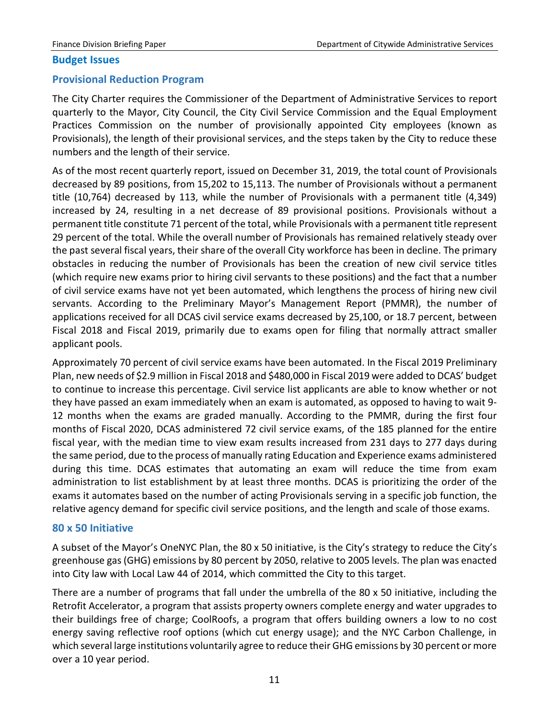#### **Budget Issues**

#### <span id="page-13-0"></span>**Provisional Reduction Program**

The City Charter requires the Commissioner of the Department of Administrative Services to report quarterly to the Mayor, City Council, the City Civil Service Commission and the Equal Employment Practices Commission on the number of provisionally appointed City employees (known as Provisionals), the length of their provisional services, and the steps taken by the City to reduce these numbers and the length of their service.

As of the most recent quarterly report, issued on December 31, 2019, the total count of Provisionals decreased by 89 positions, from 15,202 to 15,113. The number of Provisionals without a permanent title (10,764) decreased by 113, while the number of Provisionals with a permanent title (4,349) increased by 24, resulting in a net decrease of 89 provisional positions. Provisionals without a permanent title constitute 71 percent of the total, while Provisionals with a permanent title represent 29 percent of the total. While the overall number of Provisionals has remained relatively steady over the past several fiscal years, their share of the overall City workforce has been in decline. The primary obstacles in reducing the number of Provisionals has been the creation of new civil service titles (which require new exams prior to hiring civil servants to these positions) and the fact that a number of civil service exams have not yet been automated, which lengthens the process of hiring new civil servants. According to the Preliminary Mayor's Management Report (PMMR), the number of applications received for all DCAS civil service exams decreased by 25,100, or 18.7 percent, between Fiscal 2018 and Fiscal 2019, primarily due to exams open for filing that normally attract smaller applicant pools.

Approximately 70 percent of civil service exams have been automated. In the Fiscal 2019 Preliminary Plan, new needs of \$2.9 million in Fiscal 2018 and \$480,000 in Fiscal 2019 were added to DCAS' budget to continue to increase this percentage. Civil service list applicants are able to know whether or not they have passed an exam immediately when an exam is automated, as opposed to having to wait 9- 12 months when the exams are graded manually. According to the PMMR, during the first four months of Fiscal 2020, DCAS administered 72 civil service exams, of the 185 planned for the entire fiscal year, with the median time to view exam results increased from 231 days to 277 days during the same period, due to the process of manually rating Education and Experience exams administered during this time. DCAS estimates that automating an exam will reduce the time from exam administration to list establishment by at least three months. DCAS is prioritizing the order of the exams it automates based on the number of acting Provisionals serving in a specific job function, the relative agency demand for specific civil service positions, and the length and scale of those exams.

#### <span id="page-13-1"></span>**80 x 50 Initiative**

A subset of the Mayor's OneNYC Plan, the 80 x 50 initiative, is the City's strategy to reduce the City's greenhouse gas (GHG) emissions by 80 percent by 2050, relative to 2005 levels. The plan was enacted into City law with Local Law 44 of 2014, which committed the City to this target.

There are a number of programs that fall under the umbrella of the 80 x 50 initiative, including the Retrofit Accelerator, a program that assists property owners complete energy and water upgrades to their buildings free of charge; CoolRoofs, a program that offers building owners a low to no cost energy saving reflective roof options (which cut energy usage); and the NYC Carbon Challenge, in which several large institutions voluntarily agree to reduce their GHG emissions by 30 percent or more over a 10 year period.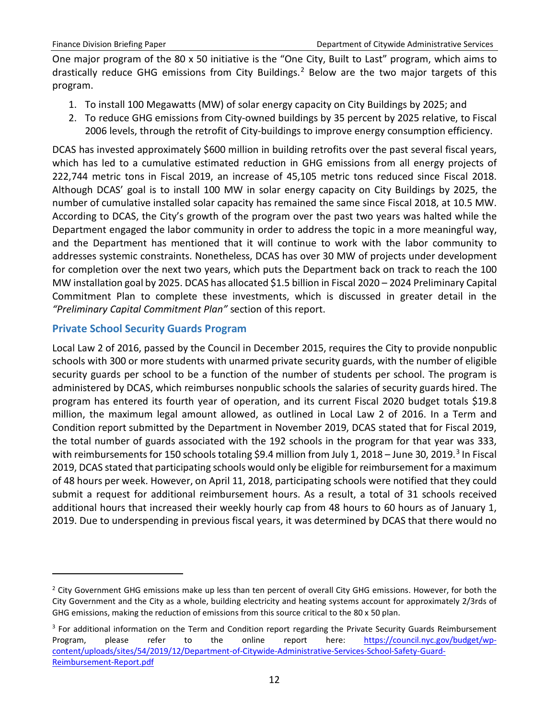One major program of the 80 x 50 initiative is the "One City, Built to Last" program, which aims to drastically reduce GHG emissions from City Buildings.<sup>[2](#page-14-1)</sup> Below are the two major targets of this program.

- 1. To install 100 Megawatts (MW) of solar energy capacity on City Buildings by 2025; and
- 2. To reduce GHG emissions from City-owned buildings by 35 percent by 2025 relative, to Fiscal 2006 levels, through the retrofit of City-buildings to improve energy consumption efficiency.

DCAS has invested approximately \$600 million in building retrofits over the past several fiscal years, which has led to a cumulative estimated reduction in GHG emissions from all energy projects of 222,744 metric tons in Fiscal 2019, an increase of 45,105 metric tons reduced since Fiscal 2018. Although DCAS' goal is to install 100 MW in solar energy capacity on City Buildings by 2025, the number of cumulative installed solar capacity has remained the same since Fiscal 2018, at 10.5 MW. According to DCAS, the City's growth of the program over the past two years was halted while the Department engaged the labor community in order to address the topic in a more meaningful way, and the Department has mentioned that it will continue to work with the labor community to addresses systemic constraints. Nonetheless, DCAS has over 30 MW of projects under development for completion over the next two years, which puts the Department back on track to reach the 100 MW installation goal by 2025. DCAS has allocated \$1.5 billion in Fiscal 2020 – 2024 Preliminary Capital Commitment Plan to complete these investments, which is discussed in greater detail in the *"Preliminary Capital Commitment Plan"* section of this report.

# <span id="page-14-0"></span>**Private School Security Guards Program**

 $\overline{a}$ 

Local Law 2 of 2016, passed by the Council in December 2015, requires the City to provide nonpublic schools with 300 or more students with unarmed private security guards, with the number of eligible security guards per school to be a function of the number of students per school. The program is administered by DCAS, which reimburses nonpublic schools the salaries of security guards hired. The program has entered its fourth year of operation, and its current Fiscal 2020 budget totals \$19.8 million, the maximum legal amount allowed, as outlined in Local Law 2 of 2016. In a Term and Condition report submitted by the Department in November 2019, DCAS stated that for Fiscal 2019, the total number of guards associated with the 192 schools in the program for that year was 333, with reimbursements for 150 schools totaling \$9.4 million from July 1, 2018 – June [3](#page-14-2)0, 2019.<sup>3</sup> In Fiscal 2019, DCAS stated that participating schools would only be eligible for reimbursement for a maximum of 48 hours per week. However, on April 11, 2018, participating schools were notified that they could submit a request for additional reimbursement hours. As a result, a total of 31 schools received additional hours that increased their weekly hourly cap from 48 hours to 60 hours as of January 1, 2019. Due to underspending in previous fiscal years, it was determined by DCAS that there would no

<span id="page-14-1"></span><sup>&</sup>lt;sup>2</sup> City Government GHG emissions make up less than ten percent of overall City GHG emissions. However, for both the City Government and the City as a whole, building electricity and heating systems account for approximately 2/3rds of GHG emissions, making the reduction of emissions from this source critical to the 80 x 50 plan.

<span id="page-14-2"></span> $3$  For additional information on the Term and Condition report regarding the Private Security Guards Reimbursement Program, please refer to the online report here: [https://council.nyc.gov/budget/wp](https://council.nyc.gov/budget/wp-content/uploads/sites/54/2019/12/Department-of-Citywide-Administrative-Services-School-Safety-Guard-Reimbursement-Report.pdf)[content/uploads/sites/54/2019/12/Department-of-Citywide-Administrative-Services-School-Safety-Guard-](https://council.nyc.gov/budget/wp-content/uploads/sites/54/2019/12/Department-of-Citywide-Administrative-Services-School-Safety-Guard-Reimbursement-Report.pdf)[Reimbursement-Report.pdf](https://council.nyc.gov/budget/wp-content/uploads/sites/54/2019/12/Department-of-Citywide-Administrative-Services-School-Safety-Guard-Reimbursement-Report.pdf)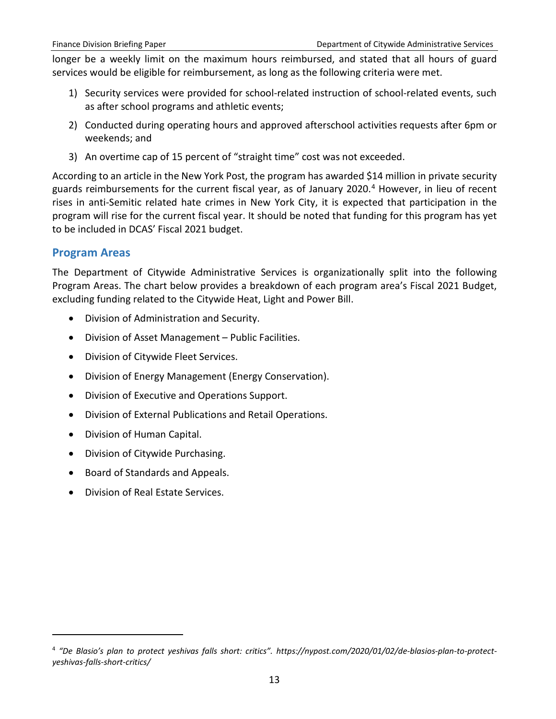longer be a weekly limit on the maximum hours reimbursed, and stated that all hours of guard services would be eligible for reimbursement, as long as the following criteria were met.

- 1) Security services were provided for school-related instruction of school-related events, such as after school programs and athletic events;
- 2) Conducted during operating hours and approved afterschool activities requests after 6pm or weekends; and
- 3) An overtime cap of 15 percent of "straight time" cost was not exceeded.

According to an article in the New York Post, the program has awarded \$14 million in private security guards reimbursements for the current fiscal year, as of January 2020. [4](#page-15-1) However, in lieu of recent rises in anti-Semitic related hate crimes in New York City, it is expected that participation in the program will rise for the current fiscal year. It should be noted that funding for this program has yet to be included in DCAS' Fiscal 2021 budget.

# <span id="page-15-0"></span>**Program Areas**

 $\overline{a}$ 

The Department of Citywide Administrative Services is organizationally split into the following Program Areas. The chart below provides a breakdown of each program area's Fiscal 2021 Budget, excluding funding related to the Citywide Heat, Light and Power Bill.

- Division of Administration and Security.
- Division of Asset Management Public Facilities.
- Division of Citywide Fleet Services.
- Division of Energy Management (Energy Conservation).
- Division of Executive and Operations Support.
- Division of External Publications and Retail Operations.
- Division of Human Capital.
- Division of Citywide Purchasing.
- Board of Standards and Appeals.
- Division of Real Estate Services.

<span id="page-15-1"></span><sup>4</sup> *"De Blasio's plan to protect yeshivas falls short: critics". https://nypost.com/2020/01/02/de-blasios-plan-to-protectyeshivas-falls-short-critics/*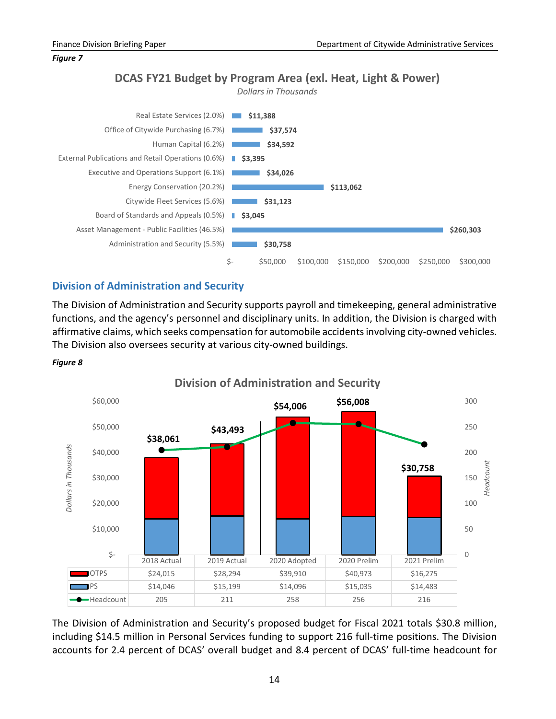*Figure 7*

# **DCAS FY21 Budget by Program Area (exl. Heat, Light & Power)**





# <span id="page-16-0"></span>**Division of Administration and Security**

The Division of Administration and Security supports payroll and timekeeping, general administrative functions, and the agency's personnel and disciplinary units. In addition, the Division is charged with affirmative claims, which seeks compensation for automobile accidents involving city-owned vehicles. The Division also oversees security at various city-owned buildings.



*Figure 8*

The Division of Administration and Security's proposed budget for Fiscal 2021 totals \$30.8 million, including \$14.5 million in Personal Services funding to support 216 full-time positions. The Division accounts for 2.4 percent of DCAS' overall budget and 8.4 percent of DCAS' full-time headcount for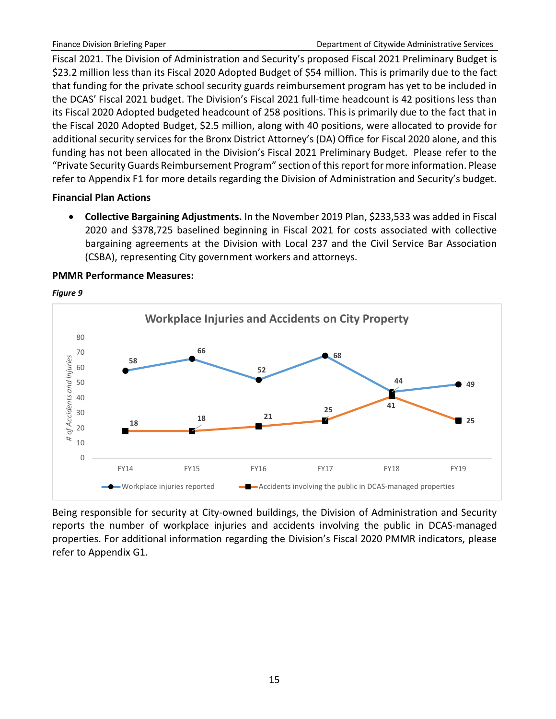Fiscal 2021. The Division of Administration and Security's proposed Fiscal 2021 Preliminary Budget is \$23.2 million less than its Fiscal 2020 Adopted Budget of \$54 million. This is primarily due to the fact that funding for the private school security guards reimbursement program has yet to be included in the DCAS' Fiscal 2021 budget. The Division's Fiscal 2021 full-time headcount is 42 positions less than its Fiscal 2020 Adopted budgeted headcount of 258 positions. This is primarily due to the fact that in the Fiscal 2020 Adopted Budget, \$2.5 million, along with 40 positions, were allocated to provide for additional security services for the Bronx District Attorney's (DA) Office for Fiscal 2020 alone, and this funding has not been allocated in the Division's Fiscal 2021 Preliminary Budget. Please refer to the "Private Security Guards Reimbursement Program" section of this report for more information. Please refer to Appendix F1 for more details regarding the Division of Administration and Security's budget.

# **Financial Plan Actions**

• **Collective Bargaining Adjustments.** In the November 2019 Plan, \$233,533 was added in Fiscal 2020 and \$378,725 baselined beginning in Fiscal 2021 for costs associated with collective bargaining agreements at the Division with Local 237 and the Civil Service Bar Association (CSBA), representing City government workers and attorneys.

### **PMMR Performance Measures:**



*Figure 9*

Being responsible for security at City-owned buildings, the Division of Administration and Security reports the number of workplace injuries and accidents involving the public in DCAS-managed properties. For additional information regarding the Division's Fiscal 2020 PMMR indicators, please refer to Appendix G1.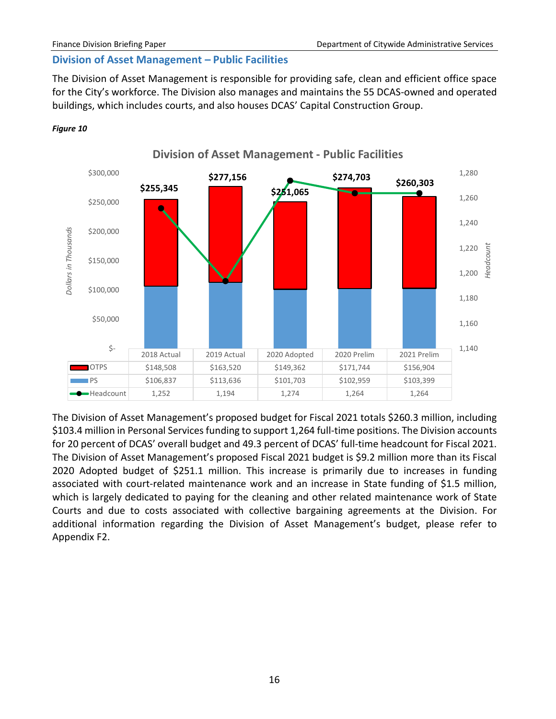## <span id="page-18-0"></span>**Division of Asset Management – Public Facilities**

The Division of Asset Management is responsible for providing safe, clean and efficient office space for the City's workforce. The Division also manages and maintains the 55 DCAS-owned and operated buildings, which includes courts, and also houses DCAS' Capital Construction Group.





The Division of Asset Management's proposed budget for Fiscal 2021 totals \$260.3 million, including \$103.4 million in Personal Services funding to support 1,264 full-time positions. The Division accounts for 20 percent of DCAS' overall budget and 49.3 percent of DCAS' full-time headcount for Fiscal 2021. The Division of Asset Management's proposed Fiscal 2021 budget is \$9.2 million more than its Fiscal 2020 Adopted budget of \$251.1 million. This increase is primarily due to increases in funding associated with court-related maintenance work and an increase in State funding of \$1.5 million, which is largely dedicated to paying for the cleaning and other related maintenance work of State Courts and due to costs associated with collective bargaining agreements at the Division. For additional information regarding the Division of Asset Management's budget, please refer to Appendix F2.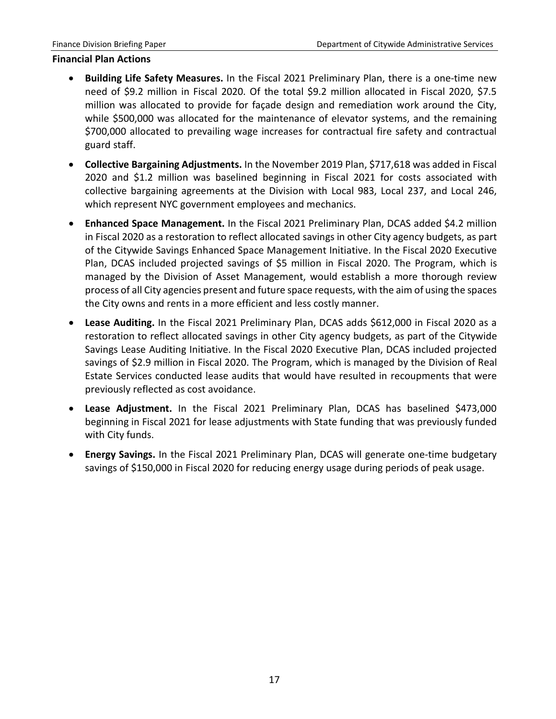#### **Financial Plan Actions**

- **Building Life Safety Measures.** In the Fiscal 2021 Preliminary Plan, there is a one-time new need of \$9.2 million in Fiscal 2020. Of the total \$9.2 million allocated in Fiscal 2020, \$7.5 million was allocated to provide for façade design and remediation work around the City, while \$500,000 was allocated for the maintenance of elevator systems, and the remaining \$700,000 allocated to prevailing wage increases for contractual fire safety and contractual guard staff.
- **Collective Bargaining Adjustments.** In the November 2019 Plan, \$717,618 was added in Fiscal 2020 and \$1.2 million was baselined beginning in Fiscal 2021 for costs associated with collective bargaining agreements at the Division with Local 983, Local 237, and Local 246, which represent NYC government employees and mechanics.
- **Enhanced Space Management.** In the Fiscal 2021 Preliminary Plan, DCAS added \$4.2 million in Fiscal 2020 as a restoration to reflect allocated savings in other City agency budgets, as part of the Citywide Savings Enhanced Space Management Initiative. In the Fiscal 2020 Executive Plan, DCAS included projected savings of \$5 million in Fiscal 2020. The Program, which is managed by the Division of Asset Management, would establish a more thorough review process of all City agencies present and future space requests, with the aim of using the spaces the City owns and rents in a more efficient and less costly manner.
- **Lease Auditing.** In the Fiscal 2021 Preliminary Plan, DCAS adds \$612,000 in Fiscal 2020 as a restoration to reflect allocated savings in other City agency budgets, as part of the Citywide Savings Lease Auditing Initiative. In the Fiscal 2020 Executive Plan, DCAS included projected savings of \$2.9 million in Fiscal 2020. The Program, which is managed by the Division of Real Estate Services conducted lease audits that would have resulted in recoupments that were previously reflected as cost avoidance.
- **Lease Adjustment.** In the Fiscal 2021 Preliminary Plan, DCAS has baselined \$473,000 beginning in Fiscal 2021 for lease adjustments with State funding that was previously funded with City funds.
- **Energy Savings.** In the Fiscal 2021 Preliminary Plan, DCAS will generate one-time budgetary savings of \$150,000 in Fiscal 2020 for reducing energy usage during periods of peak usage.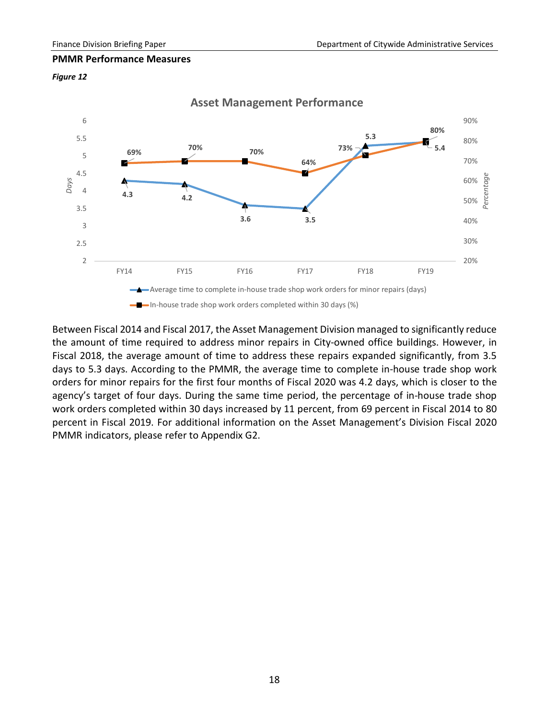#### **PMMR Performance Measures**

#### *Figure 12*



Between Fiscal 2014 and Fiscal 2017, the Asset Management Division managed to significantly reduce the amount of time required to address minor repairs in City-owned office buildings. However, in Fiscal 2018, the average amount of time to address these repairs expanded significantly, from 3.5 days to 5.3 days. According to the PMMR, the average time to complete in-house trade shop work orders for minor repairs for the first four months of Fiscal 2020 was 4.2 days, which is closer to the agency's target of four days. During the same time period, the percentage of in-house trade shop work orders completed within 30 days increased by 11 percent, from 69 percent in Fiscal 2014 to 80 percent in Fiscal 2019. For additional information on the Asset Management's Division Fiscal 2020 PMMR indicators, please refer to Appendix G2.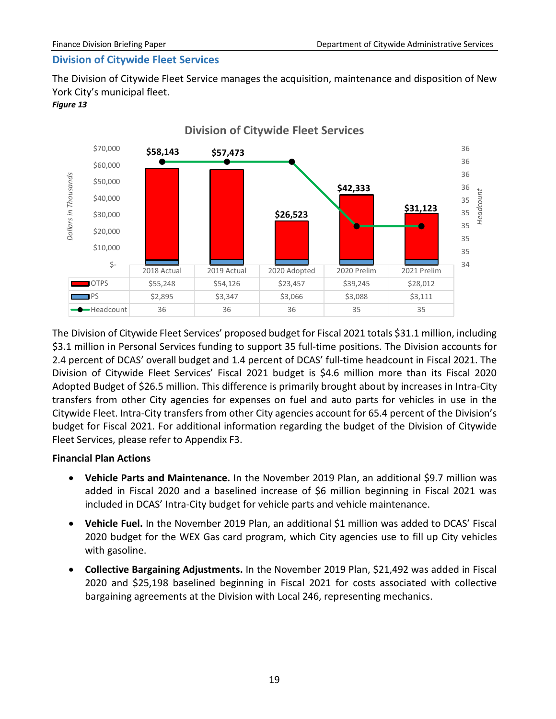# <span id="page-21-0"></span>**Division of Citywide Fleet Services**

The Division of Citywide Fleet Service manages the acquisition, maintenance and disposition of New York City's municipal fleet.

#### *Figure 13*



The Division of Citywide Fleet Services' proposed budget for Fiscal 2021 totals \$31.1 million, including \$3.1 million in Personal Services funding to support 35 full-time positions. The Division accounts for 2.4 percent of DCAS' overall budget and 1.4 percent of DCAS' full-time headcount in Fiscal 2021. The Division of Citywide Fleet Services' Fiscal 2021 budget is \$4.6 million more than its Fiscal 2020 Adopted Budget of \$26.5 million. This difference is primarily brought about by increases in Intra-City transfers from other City agencies for expenses on fuel and auto parts for vehicles in use in the Citywide Fleet. Intra-City transfers from other City agencies account for 65.4 percent of the Division's budget for Fiscal 2021. For additional information regarding the budget of the Division of Citywide Fleet Services, please refer to Appendix F3.

# **Financial Plan Actions**

- **Vehicle Parts and Maintenance.** In the November 2019 Plan, an additional \$9.7 million was added in Fiscal 2020 and a baselined increase of \$6 million beginning in Fiscal 2021 was included in DCAS' Intra-City budget for vehicle parts and vehicle maintenance.
- **Vehicle Fuel.** In the November 2019 Plan, an additional \$1 million was added to DCAS' Fiscal 2020 budget for the WEX Gas card program, which City agencies use to fill up City vehicles with gasoline.
- **Collective Bargaining Adjustments.** In the November 2019 Plan, \$21,492 was added in Fiscal 2020 and \$25,198 baselined beginning in Fiscal 2021 for costs associated with collective bargaining agreements at the Division with Local 246, representing mechanics.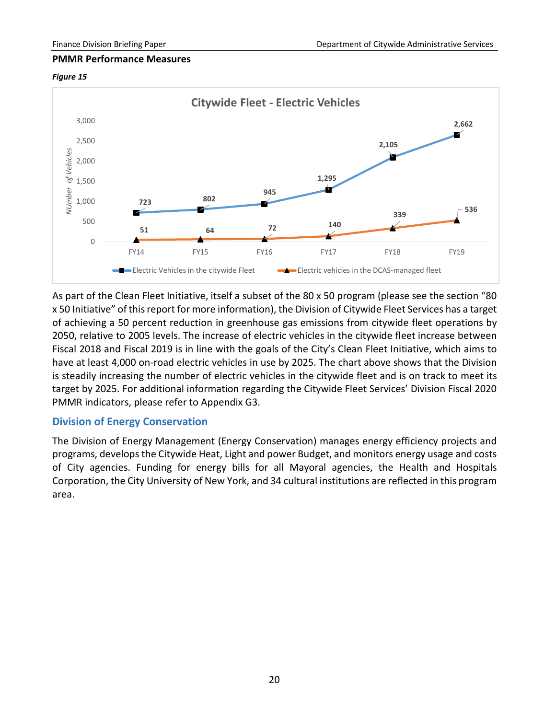#### **PMMR Performance Measures**





As part of the Clean Fleet Initiative, itself a subset of the 80 x 50 program (please see the section "80 x 50 Initiative" of this report for more information), the Division of Citywide Fleet Services has a target of achieving a 50 percent reduction in greenhouse gas emissions from citywide fleet operations by 2050, relative to 2005 levels. The increase of electric vehicles in the citywide fleet increase between Fiscal 2018 and Fiscal 2019 is in line with the goals of the City's Clean Fleet Initiative, which aims to have at least 4,000 on-road electric vehicles in use by 2025. The chart above shows that the Division is steadily increasing the number of electric vehicles in the citywide fleet and is on track to meet its target by 2025. For additional information regarding the Citywide Fleet Services' Division Fiscal 2020 PMMR indicators, please refer to Appendix G3.

# <span id="page-22-0"></span>**Division of Energy Conservation**

The Division of Energy Management (Energy Conservation) manages energy efficiency projects and programs, develops the Citywide Heat, Light and power Budget, and monitors energy usage and costs of City agencies. Funding for energy bills for all Mayoral agencies, the Health and Hospitals Corporation, the City University of New York, and 34 cultural institutions are reflected in this program area.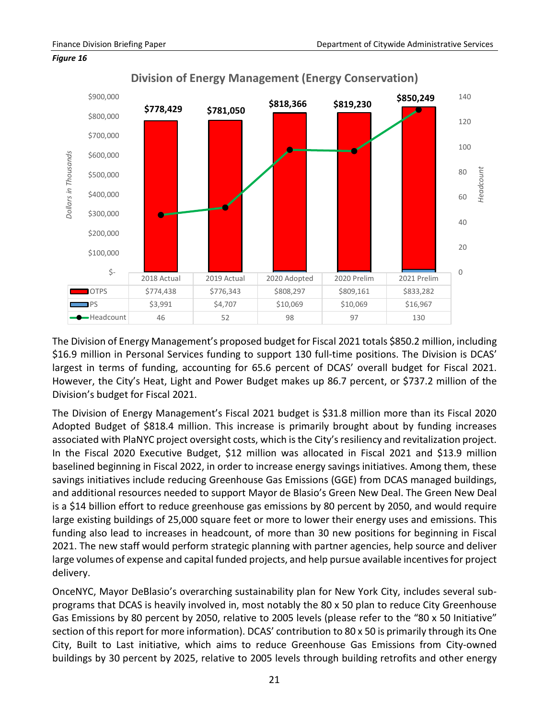

#### *Figure 16*

**Division of Energy Management (Energy Conservation)**

The Division of Energy Management's proposed budget for Fiscal 2021 totals \$850.2 million, including \$16.9 million in Personal Services funding to support 130 full-time positions. The Division is DCAS' largest in terms of funding, accounting for 65.6 percent of DCAS' overall budget for Fiscal 2021. However, the City's Heat, Light and Power Budget makes up 86.7 percent, or \$737.2 million of the Division's budget for Fiscal 2021.

The Division of Energy Management's Fiscal 2021 budget is \$31.8 million more than its Fiscal 2020 Adopted Budget of \$818.4 million. This increase is primarily brought about by funding increases associated with PlaNYC project oversight costs, which is the City's resiliency and revitalization project. In the Fiscal 2020 Executive Budget, \$12 million was allocated in Fiscal 2021 and \$13.9 million baselined beginning in Fiscal 2022, in order to increase energy savings initiatives. Among them, these savings initiatives include reducing Greenhouse Gas Emissions (GGE) from DCAS managed buildings, and additional resources needed to support Mayor de Blasio's Green New Deal. The Green New Deal is a \$14 billion effort to reduce greenhouse gas emissions by 80 percent by 2050, and would require large existing buildings of 25,000 square feet or more to lower their energy uses and emissions. This funding also lead to increases in headcount, of more than 30 new positions for beginning in Fiscal 2021. The new staff would perform strategic planning with partner agencies, help source and deliver large volumes of expense and capital funded projects, and help pursue available incentives for project delivery.

OnceNYC, Mayor DeBlasio's overarching sustainability plan for New York City, includes several subprograms that DCAS is heavily involved in, most notably the 80 x 50 plan to reduce City Greenhouse Gas Emissions by 80 percent by 2050, relative to 2005 levels (please refer to the "80 x 50 Initiative" section of this report for more information). DCAS' contribution to 80 x 50 is primarily through its One City, Built to Last initiative, which aims to reduce Greenhouse Gas Emissions from City-owned buildings by 30 percent by 2025, relative to 2005 levels through building retrofits and other energy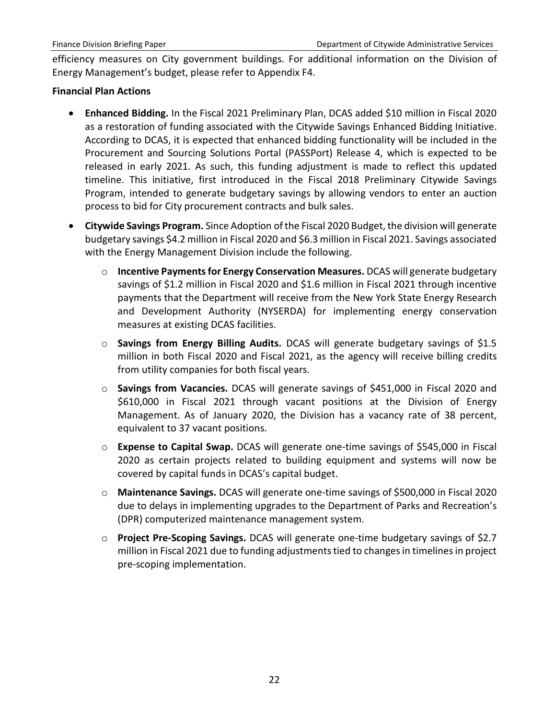efficiency measures on City government buildings. For additional information on the Division of Energy Management's budget, please refer to Appendix F4.

# **Financial Plan Actions**

- **Enhanced Bidding.** In the Fiscal 2021 Preliminary Plan, DCAS added \$10 million in Fiscal 2020 as a restoration of funding associated with the Citywide Savings Enhanced Bidding Initiative. According to DCAS, it is expected that enhanced bidding functionality will be included in the Procurement and Sourcing Solutions Portal (PASSPort) Release 4, which is expected to be released in early 2021. As such, this funding adjustment is made to reflect this updated timeline. This initiative, first introduced in the Fiscal 2018 Preliminary Citywide Savings Program, intended to generate budgetary savings by allowing vendors to enter an auction process to bid for City procurement contracts and bulk sales.
- **Citywide Savings Program.** Since Adoption of the Fiscal 2020 Budget, the division will generate budgetary savings \$4.2 million in Fiscal 2020 and \$6.3 million in Fiscal 2021. Savings associated with the Energy Management Division include the following.
	- o **Incentive Payments for Energy Conservation Measures.** DCAS will generate budgetary savings of \$1.2 million in Fiscal 2020 and \$1.6 million in Fiscal 2021 through incentive payments that the Department will receive from the New York State Energy Research and Development Authority (NYSERDA) for implementing energy conservation measures at existing DCAS facilities.
	- o **Savings from Energy Billing Audits.** DCAS will generate budgetary savings of \$1.5 million in both Fiscal 2020 and Fiscal 2021, as the agency will receive billing credits from utility companies for both fiscal years.
	- o **Savings from Vacancies.** DCAS will generate savings of \$451,000 in Fiscal 2020 and \$610,000 in Fiscal 2021 through vacant positions at the Division of Energy Management. As of January 2020, the Division has a vacancy rate of 38 percent, equivalent to 37 vacant positions.
	- o **Expense to Capital Swap.** DCAS will generate one-time savings of \$545,000 in Fiscal 2020 as certain projects related to building equipment and systems will now be covered by capital funds in DCAS's capital budget.
	- o **Maintenance Savings.** DCAS will generate one-time savings of \$500,000 in Fiscal 2020 due to delays in implementing upgrades to the Department of Parks and Recreation's (DPR) computerized maintenance management system.
	- o **Project Pre-Scoping Savings.** DCAS will generate one-time budgetary savings of \$2.7 million in Fiscal 2021 due to funding adjustments tied to changes in timelines in project pre-scoping implementation.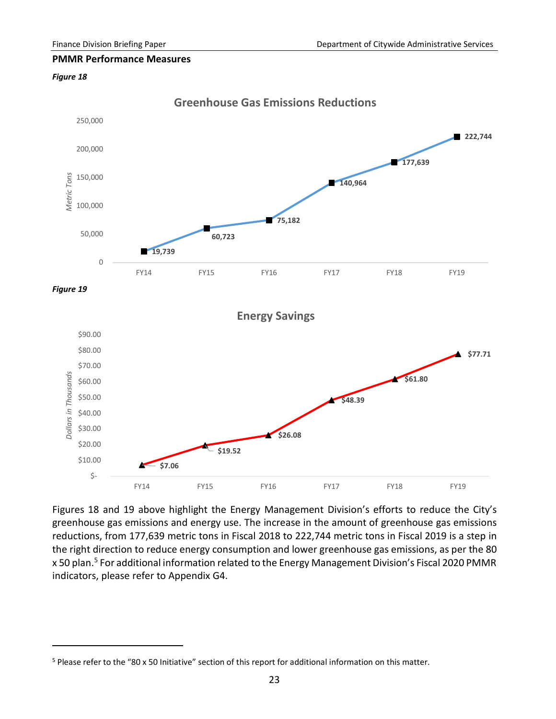#### **PMMR Performance Measures**

#### *Figure 18*

 $\overline{a}$ 



Figures 18 and 19 above highlight the Energy Management Division's efforts to reduce the City's greenhouse gas emissions and energy use. The increase in the amount of greenhouse gas emissions reductions, from 177,639 metric tons in Fiscal 2018 to 222,744 metric tons in Fiscal 2019 is a step in the right direction to reduce energy consumption and lower greenhouse gas emissions, as per the 80 x [5](#page-25-0)0 plan.<sup>5</sup> For additional information related to the Energy Management Division's Fiscal 2020 PMMR indicators, please refer to Appendix G4.

<span id="page-25-0"></span><sup>5</sup> Please refer to the "80 x 50 Initiative" section of this report for additional information on this matter.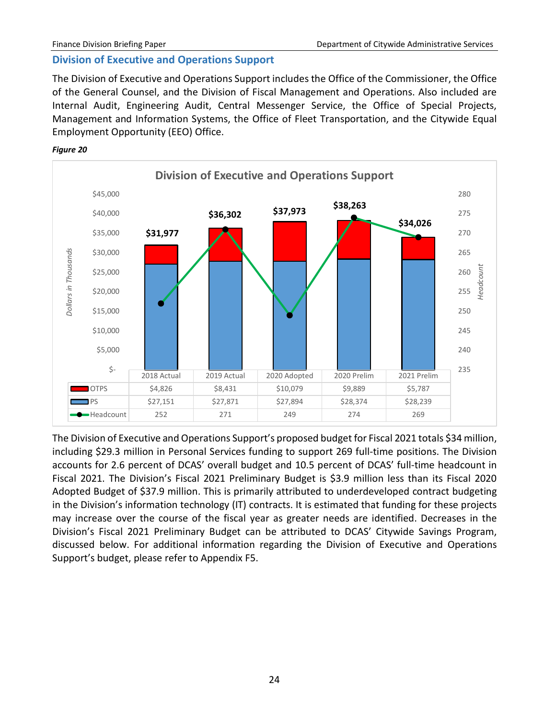# <span id="page-26-0"></span>**Division of Executive and Operations Support**

The Division of Executive and Operations Support includes the Office of the Commissioner, the Office of the General Counsel, and the Division of Fiscal Management and Operations. Also included are Internal Audit, Engineering Audit, Central Messenger Service, the Office of Special Projects, Management and Information Systems, the Office of Fleet Transportation, and the Citywide Equal Employment Opportunity (EEO) Office.





The Division of Executive and Operations Support's proposed budget for Fiscal 2021 totals \$34 million, including \$29.3 million in Personal Services funding to support 269 full-time positions. The Division accounts for 2.6 percent of DCAS' overall budget and 10.5 percent of DCAS' full-time headcount in Fiscal 2021. The Division's Fiscal 2021 Preliminary Budget is \$3.9 million less than its Fiscal 2020 Adopted Budget of \$37.9 million. This is primarily attributed to underdeveloped contract budgeting in the Division's information technology (IT) contracts. It is estimated that funding for these projects may increase over the course of the fiscal year as greater needs are identified. Decreases in the Division's Fiscal 2021 Preliminary Budget can be attributed to DCAS' Citywide Savings Program, discussed below. For additional information regarding the Division of Executive and Operations Support's budget, please refer to Appendix F5.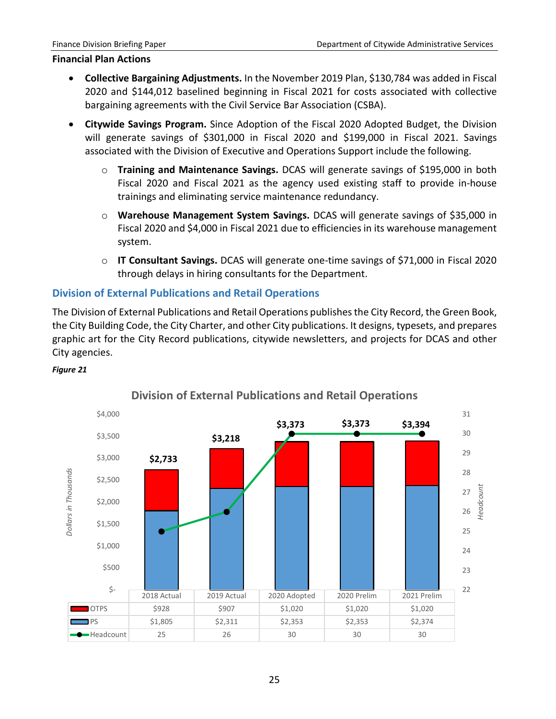#### **Financial Plan Actions**

- **Collective Bargaining Adjustments.** In the November 2019 Plan, \$130,784 was added in Fiscal 2020 and \$144,012 baselined beginning in Fiscal 2021 for costs associated with collective bargaining agreements with the Civil Service Bar Association (CSBA).
- **Citywide Savings Program.** Since Adoption of the Fiscal 2020 Adopted Budget, the Division will generate savings of \$301,000 in Fiscal 2020 and \$199,000 in Fiscal 2021. Savings associated with the Division of Executive and Operations Support include the following.
	- o **Training and Maintenance Savings.** DCAS will generate savings of \$195,000 in both Fiscal 2020 and Fiscal 2021 as the agency used existing staff to provide in-house trainings and eliminating service maintenance redundancy.
	- o **Warehouse Management System Savings.** DCAS will generate savings of \$35,000 in Fiscal 2020 and \$4,000 in Fiscal 2021 due to efficiencies in its warehouse management system.
	- o **IT Consultant Savings.** DCAS will generate one-time savings of \$71,000 in Fiscal 2020 through delays in hiring consultants for the Department.

# <span id="page-27-0"></span>**Division of External Publications and Retail Operations**

The Division of External Publications and Retail Operations publishes the City Record, the Green Book, the City Building Code, the City Charter, and other City publications. It designs, typesets, and prepares graphic art for the City Record publications, citywide newsletters, and projects for DCAS and other City agencies.



# *Figure 21*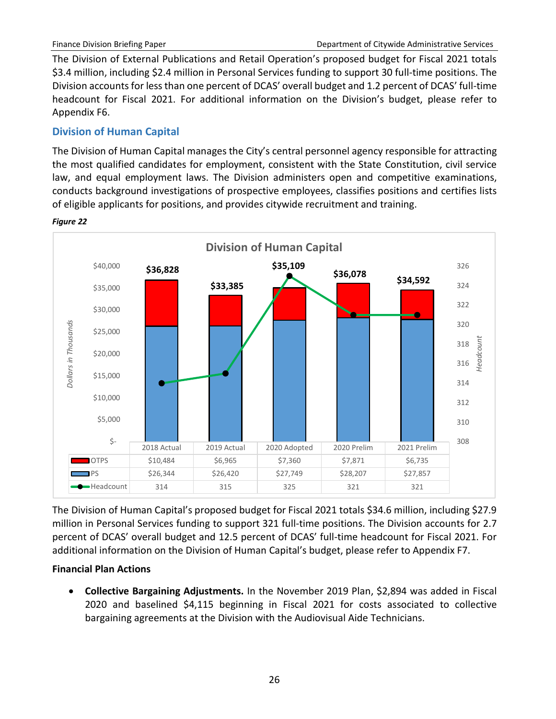The Division of External Publications and Retail Operation's proposed budget for Fiscal 2021 totals \$3.4 million, including \$2.4 million in Personal Services funding to support 30 full-time positions. The Division accounts for less than one percent of DCAS' overall budget and 1.2 percent of DCAS' full-time headcount for Fiscal 2021. For additional information on the Division's budget, please refer to Appendix F6.

# <span id="page-28-0"></span>**Division of Human Capital**

The Division of Human Capital manages the City's central personnel agency responsible for attracting the most qualified candidates for employment, consistent with the State Constitution, civil service law, and equal employment laws. The Division administers open and competitive examinations, conducts background investigations of prospective employees, classifies positions and certifies lists of eligible applicants for positions, and provides citywide recruitment and training.



*Figure 22*

The Division of Human Capital's proposed budget for Fiscal 2021 totals \$34.6 million, including \$27.9 million in Personal Services funding to support 321 full-time positions. The Division accounts for 2.7 percent of DCAS' overall budget and 12.5 percent of DCAS' full-time headcount for Fiscal 2021. For additional information on the Division of Human Capital's budget, please refer to Appendix F7.

# **Financial Plan Actions**

• **Collective Bargaining Adjustments.** In the November 2019 Plan, \$2,894 was added in Fiscal 2020 and baselined \$4,115 beginning in Fiscal 2021 for costs associated to collective bargaining agreements at the Division with the Audiovisual Aide Technicians.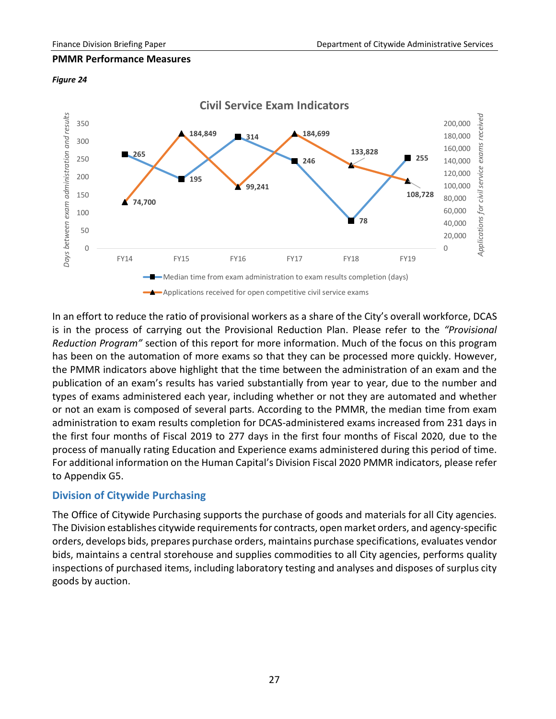#### **PMMR Performance Measures**

#### *Figure 24*



In an effort to reduce the ratio of provisional workers as a share of the City's overall workforce, DCAS is in the process of carrying out the Provisional Reduction Plan. Please refer to the *"Provisional Reduction Program"* section of this report for more information. Much of the focus on this program has been on the automation of more exams so that they can be processed more quickly. However, the PMMR indicators above highlight that the time between the administration of an exam and the publication of an exam's results has varied substantially from year to year, due to the number and types of exams administered each year, including whether or not they are automated and whether or not an exam is composed of several parts. According to the PMMR, the median time from exam administration to exam results completion for DCAS-administered exams increased from 231 days in the first four months of Fiscal 2019 to 277 days in the first four months of Fiscal 2020, due to the process of manually rating Education and Experience exams administered during this period of time. For additional information on the Human Capital's Division Fiscal 2020 PMMR indicators, please refer to Appendix G5.

# <span id="page-29-0"></span>**Division of Citywide Purchasing**

The Office of Citywide Purchasing supports the purchase of goods and materials for all City agencies. The Division establishes citywide requirements for contracts, open market orders, and agency-specific orders, develops bids, prepares purchase orders, maintains purchase specifications, evaluates vendor bids, maintains a central storehouse and supplies commodities to all City agencies, performs quality inspections of purchased items, including laboratory testing and analyses and disposes of surplus city goods by auction.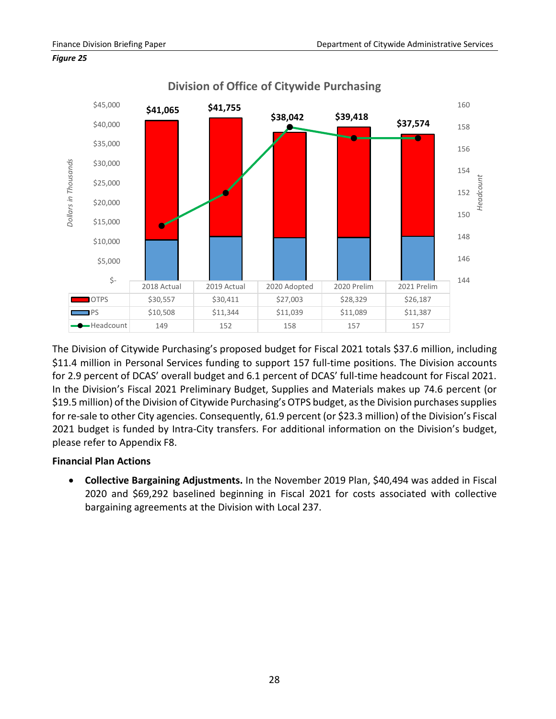

#### *Figure 25*

The Division of Citywide Purchasing's proposed budget for Fiscal 2021 totals \$37.6 million, including \$11.4 million in Personal Services funding to support 157 full-time positions. The Division accounts for 2.9 percent of DCAS' overall budget and 6.1 percent of DCAS' full-time headcount for Fiscal 2021. In the Division's Fiscal 2021 Preliminary Budget, Supplies and Materials makes up 74.6 percent (or \$19.5 million) of the Division of Citywide Purchasing's OTPS budget, as the Division purchases supplies for re-sale to other City agencies. Consequently, 61.9 percent (or \$23.3 million) of the Division's Fiscal 2021 budget is funded by Intra-City transfers. For additional information on the Division's budget, please refer to Appendix F8.

# **Financial Plan Actions**

• **Collective Bargaining Adjustments.** In the November 2019 Plan, \$40,494 was added in Fiscal 2020 and \$69,292 baselined beginning in Fiscal 2021 for costs associated with collective bargaining agreements at the Division with Local 237.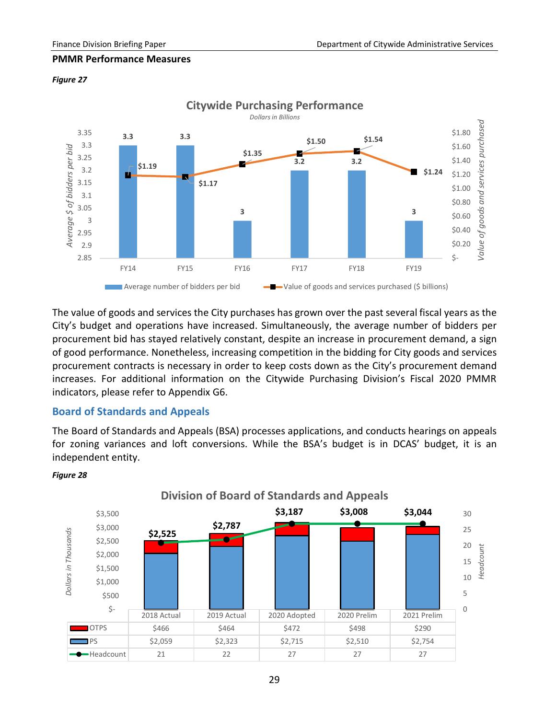### **PMMR Performance Measures**



## *Figure 27*

The value of goods and services the City purchases has grown over the past several fiscal years as the City's budget and operations have increased. Simultaneously, the average number of bidders per procurement bid has stayed relatively constant, despite an increase in procurement demand, a sign of good performance. Nonetheless, increasing competition in the bidding for City goods and services procurement contracts is necessary in order to keep costs down as the City's procurement demand increases. For additional information on the Citywide Purchasing Division's Fiscal 2020 PMMR indicators, please refer to Appendix G6.

# <span id="page-31-0"></span>**Board of Standards and Appeals**

The Board of Standards and Appeals (BSA) processes applications, and conducts hearings on appeals for zoning variances and loft conversions. While the BSA's budget is in DCAS' budget, it is an independent entity.



#### *Figure 28*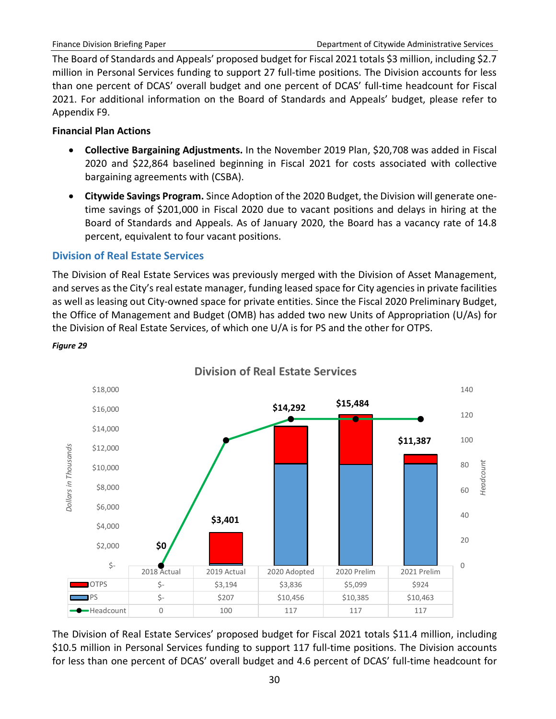The Board of Standards and Appeals' proposed budget for Fiscal 2021 totals \$3 million, including \$2.7 million in Personal Services funding to support 27 full-time positions. The Division accounts for less than one percent of DCAS' overall budget and one percent of DCAS' full-time headcount for Fiscal 2021. For additional information on the Board of Standards and Appeals' budget, please refer to Appendix F9.

# **Financial Plan Actions**

*Figure 29*

- **Collective Bargaining Adjustments.** In the November 2019 Plan, \$20,708 was added in Fiscal 2020 and \$22,864 baselined beginning in Fiscal 2021 for costs associated with collective bargaining agreements with (CSBA).
- **Citywide Savings Program.** Since Adoption of the 2020 Budget, the Division will generate onetime savings of \$201,000 in Fiscal 2020 due to vacant positions and delays in hiring at the Board of Standards and Appeals. As of January 2020, the Board has a vacancy rate of 14.8 percent, equivalent to four vacant positions.

# <span id="page-32-0"></span>**Division of Real Estate Services**

The Division of Real Estate Services was previously merged with the Division of Asset Management, and serves as the City's real estate manager, funding leased space for City agencies in private facilities as well as leasing out City-owned space for private entities. Since the Fiscal 2020 Preliminary Budget, the Office of Management and Budget (OMB) has added two new Units of Appropriation (U/As) for the Division of Real Estate Services, of which one U/A is for PS and the other for OTPS.



**Division of Real Estate Services**

The Division of Real Estate Services' proposed budget for Fiscal 2021 totals \$11.4 million, including \$10.5 million in Personal Services funding to support 117 full-time positions. The Division accounts for less than one percent of DCAS' overall budget and 4.6 percent of DCAS' full-time headcount for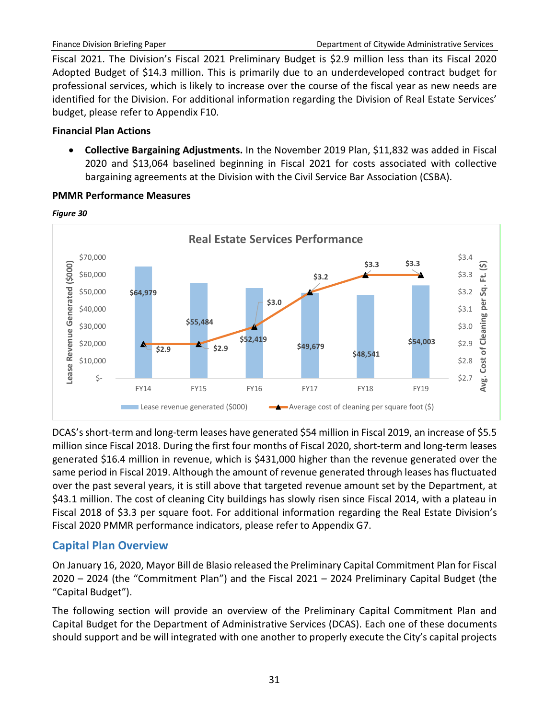Fiscal 2021. The Division's Fiscal 2021 Preliminary Budget is \$2.9 million less than its Fiscal 2020 Adopted Budget of \$14.3 million. This is primarily due to an underdeveloped contract budget for professional services, which is likely to increase over the course of the fiscal year as new needs are identified for the Division. For additional information regarding the Division of Real Estate Services' budget, please refer to Appendix F10.

# **Financial Plan Actions**

• **Collective Bargaining Adjustments.** In the November 2019 Plan, \$11,832 was added in Fiscal 2020 and \$13,064 baselined beginning in Fiscal 2021 for costs associated with collective bargaining agreements at the Division with the Civil Service Bar Association (CSBA).



### **PMMR Performance Measures**

DCAS's short-term and long-term leases have generated \$54 million in Fiscal 2019, an increase of \$5.5 million since Fiscal 2018. During the first four months of Fiscal 2020, short-term and long-term leases generated \$16.4 million in revenue, which is \$431,000 higher than the revenue generated over the same period in Fiscal 2019. Although the amount of revenue generated through leases has fluctuated over the past several years, it is still above that targeted revenue amount set by the Department, at \$43.1 million. The cost of cleaning City buildings has slowly risen since Fiscal 2014, with a plateau in Fiscal 2018 of \$3.3 per square foot. For additional information regarding the Real Estate Division's Fiscal 2020 PMMR performance indicators, please refer to Appendix G7.

# <span id="page-33-0"></span>**Capital Plan Overview**

On January 16, 2020, Mayor Bill de Blasio released the Preliminary Capital Commitment Plan for Fiscal 2020 – 2024 (the "Commitment Plan") and the Fiscal 2021 – 2024 Preliminary Capital Budget (the "Capital Budget").

The following section will provide an overview of the Preliminary Capital Commitment Plan and Capital Budget for the Department of Administrative Services (DCAS). Each one of these documents should support and be will integrated with one another to properly execute the City's capital projects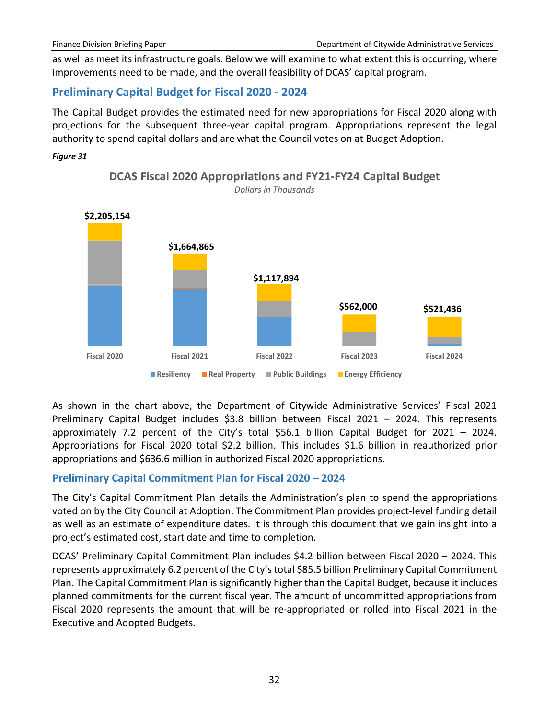as well as meet its infrastructure goals. Below we will examine to what extent this is occurring, where improvements need to be made, and the overall feasibility of DCAS' capital program.

# <span id="page-34-0"></span>**Preliminary Capital Budget for Fiscal 2020 - 2024**

The Capital Budget provides the estimated need for new appropriations for Fiscal 2020 along with projections for the subsequent three-year capital program. Appropriations represent the legal authority to spend capital dollars and are what the Council votes on at Budget Adoption.

#### *Figure 31*



**DCAS Fiscal 2020 Appropriations and FY21-FY24 Capital Budget** *Dollars in Thousands*

As shown in the chart above, the Department of Citywide Administrative Services' Fiscal 2021 Preliminary Capital Budget includes \$3.8 billion between Fiscal 2021 – 2024. This represents approximately 7.2 percent of the City's total \$56.1 billion Capital Budget for 2021 – 2024. Appropriations for Fiscal 2020 total \$2.2 billion. This includes \$1.6 billion in reauthorized prior appropriations and \$636.6 million in authorized Fiscal 2020 appropriations.

# <span id="page-34-1"></span>**Preliminary Capital Commitment Plan for Fiscal 2020 – 2024**

The City's Capital Commitment Plan details the Administration's plan to spend the appropriations voted on by the City Council at Adoption. The Commitment Plan provides project-level funding detail as well as an estimate of expenditure dates. It is through this document that we gain insight into a project's estimated cost, start date and time to completion.

DCAS' Preliminary Capital Commitment Plan includes \$4.2 billion between Fiscal 2020 – 2024. This represents approximately 6.2 percent of the City's total \$85.5 billion Preliminary Capital Commitment Plan. The Capital Commitment Plan is significantly higher than the Capital Budget, because it includes planned commitments for the current fiscal year. The amount of uncommitted appropriations from Fiscal 2020 represents the amount that will be re-appropriated or rolled into Fiscal 2021 in the Executive and Adopted Budgets.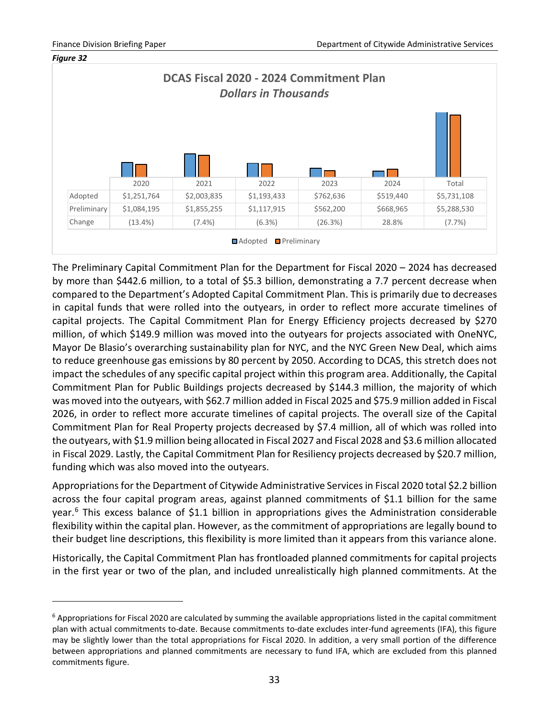$\overline{a}$ 



The Preliminary Capital Commitment Plan for the Department for Fiscal 2020 – 2024 has decreased by more than \$442.6 million, to a total of \$5.3 billion, demonstrating a 7.7 percent decrease when compared to the Department's Adopted Capital Commitment Plan. This is primarily due to decreases in capital funds that were rolled into the outyears, in order to reflect more accurate timelines of capital projects. The Capital Commitment Plan for Energy Efficiency projects decreased by \$270 million, of which \$149.9 million was moved into the outyears for projects associated with OneNYC, Mayor De Blasio's overarching sustainability plan for NYC, and the NYC Green New Deal, which aims to reduce greenhouse gas emissions by 80 percent by 2050. According to DCAS, this stretch does not impact the schedules of any specific capital project within this program area. Additionally, the Capital Commitment Plan for Public Buildings projects decreased by \$144.3 million, the majority of which was moved into the outyears, with \$62.7 million added in Fiscal 2025 and \$75.9 million added in Fiscal 2026, in order to reflect more accurate timelines of capital projects. The overall size of the Capital Commitment Plan for Real Property projects decreased by \$7.4 million, all of which was rolled into the outyears, with \$1.9 million being allocated in Fiscal 2027 and Fiscal 2028 and \$3.6 million allocated in Fiscal 2029. Lastly, the Capital Commitment Plan for Resiliency projects decreased by \$20.7 million, funding which was also moved into the outyears.

Appropriations for the Department of Citywide Administrative Services in Fiscal 2020 total \$2.2 billion across the four capital program areas, against planned commitments of \$1.1 billion for the same year.<sup>6</sup> This excess balance of \$1.1 billion in appropriations gives the Administration considerable flexibility within the capital plan. However, as the commitment of appropriations are legally bound to their budget line descriptions, this flexibility is more limited than it appears from this variance alone.

Historically, the Capital Commitment Plan has frontloaded planned commitments for capital projects in the first year or two of the plan, and included unrealistically high planned commitments. At the

<span id="page-35-0"></span> $6$  Appropriations for Fiscal 2020 are calculated by summing the available appropriations listed in the capital commitment plan with actual commitments to-date. Because commitments to-date excludes inter-fund agreements (IFA), this figure may be slightly lower than the total appropriations for Fiscal 2020. In addition, a very small portion of the difference between appropriations and planned commitments are necessary to fund IFA, which are excluded from this planned commitments figure.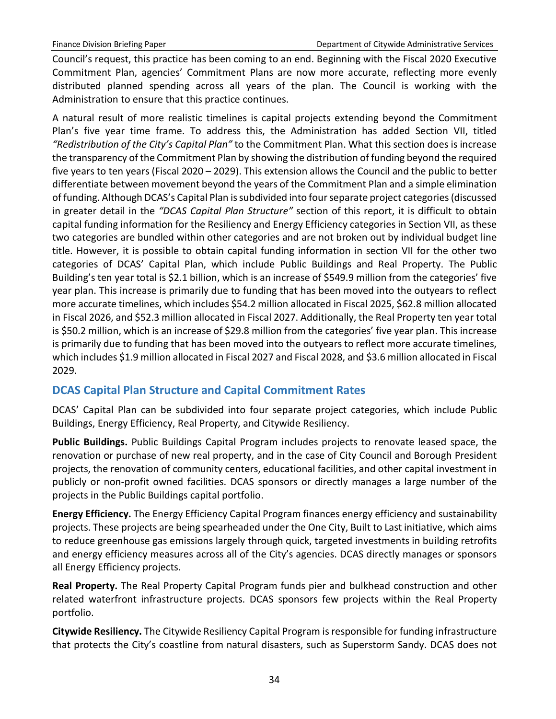Council's request, this practice has been coming to an end. Beginning with the Fiscal 2020 Executive Commitment Plan, agencies' Commitment Plans are now more accurate, reflecting more evenly distributed planned spending across all years of the plan. The Council is working with the Administration to ensure that this practice continues.

A natural result of more realistic timelines is capital projects extending beyond the Commitment Plan's five year time frame. To address this, the Administration has added Section VII, titled *"Redistribution of the City's Capital Plan"* to the Commitment Plan. What this section does is increase the transparency of the Commitment Plan by showing the distribution of funding beyond the required five years to ten years (Fiscal 2020 – 2029). This extension allows the Council and the public to better differentiate between movement beyond the years of the Commitment Plan and a simple elimination of funding. Although DCAS's Capital Plan is subdivided into four separate project categories (discussed in greater detail in the *"DCAS Capital Plan Structure"* section of this report, it is difficult to obtain capital funding information for the Resiliency and Energy Efficiency categories in Section VII, as these two categories are bundled within other categories and are not broken out by individual budget line title. However, it is possible to obtain capital funding information in section VII for the other two categories of DCAS' Capital Plan, which include Public Buildings and Real Property. The Public Building's ten year total is \$2.1 billion, which is an increase of \$549.9 million from the categories' five year plan. This increase is primarily due to funding that has been moved into the outyears to reflect more accurate timelines, which includes \$54.2 million allocated in Fiscal 2025, \$62.8 million allocated in Fiscal 2026, and \$52.3 million allocated in Fiscal 2027. Additionally, the Real Property ten year total is \$50.2 million, which is an increase of \$29.8 million from the categories' five year plan. This increase is primarily due to funding that has been moved into the outyears to reflect more accurate timelines, which includes \$1.9 million allocated in Fiscal 2027 and Fiscal 2028, and \$3.6 million allocated in Fiscal 2029.

# <span id="page-36-0"></span>**DCAS Capital Plan Structure and Capital Commitment Rates**

DCAS' Capital Plan can be subdivided into four separate project categories, which include Public Buildings, Energy Efficiency, Real Property, and Citywide Resiliency.

**Public Buildings.** Public Buildings Capital Program includes projects to renovate leased space, the renovation or purchase of new real property, and in the case of City Council and Borough President projects, the renovation of community centers, educational facilities, and other capital investment in publicly or non-profit owned facilities. DCAS sponsors or directly manages a large number of the projects in the Public Buildings capital portfolio.

**Energy Efficiency.** The Energy Efficiency Capital Program finances energy efficiency and sustainability projects. These projects are being spearheaded under the One City, Built to Last initiative, which aims to reduce greenhouse gas emissions largely through quick, targeted investments in building retrofits and energy efficiency measures across all of the City's agencies. DCAS directly manages or sponsors all Energy Efficiency projects.

**Real Property.** The Real Property Capital Program funds pier and bulkhead construction and other related waterfront infrastructure projects. DCAS sponsors few projects within the Real Property portfolio.

**Citywide Resiliency.** The Citywide Resiliency Capital Program is responsible for funding infrastructure that protects the City's coastline from natural disasters, such as Superstorm Sandy. DCAS does not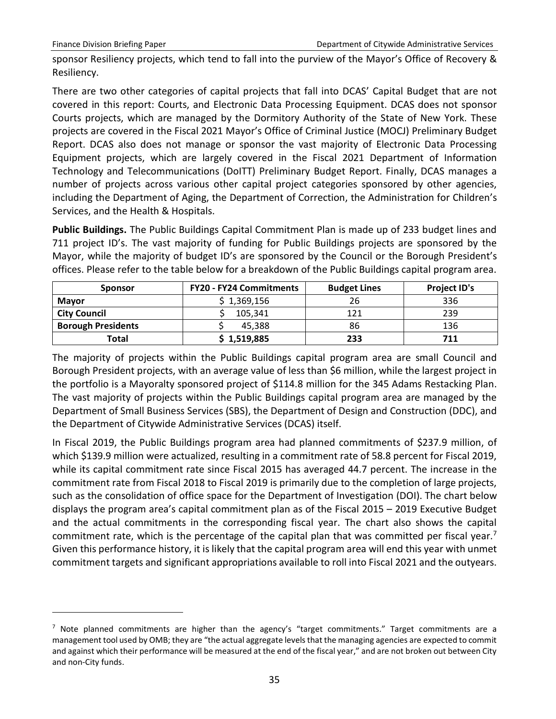$\overline{a}$ 

sponsor Resiliency projects, which tend to fall into the purview of the Mayor's Office of Recovery & Resiliency.

There are two other categories of capital projects that fall into DCAS' Capital Budget that are not covered in this report: Courts, and Electronic Data Processing Equipment. DCAS does not sponsor Courts projects, which are managed by the Dormitory Authority of the State of New York. These projects are covered in the Fiscal 2021 Mayor's Office of Criminal Justice (MOCJ) Preliminary Budget Report. DCAS also does not manage or sponsor the vast majority of Electronic Data Processing Equipment projects, which are largely covered in the Fiscal 2021 Department of Information Technology and Telecommunications (DoITT) Preliminary Budget Report. Finally, DCAS manages a number of projects across various other capital project categories sponsored by other agencies, including the Department of Aging, the Department of Correction, the Administration for Children's Services, and the Health & Hospitals.

**Public Buildings.** The Public Buildings Capital Commitment Plan is made up of 233 budget lines and 711 project ID's. The vast majority of funding for Public Buildings projects are sponsored by the Mayor, while the majority of budget ID's are sponsored by the Council or the Borough President's offices. Please refer to the table below for a breakdown of the Public Buildings capital program area.

| <b>Sponsor</b>            | <b>FY20 - FY24 Commitments</b> |     | <b>Project ID's</b> |
|---------------------------|--------------------------------|-----|---------------------|
| <b>Mavor</b>              | 1,369,156                      | 26  | 336                 |
| <b>City Council</b>       | 105,341                        | 121 | 239                 |
| <b>Borough Presidents</b> | 45.388                         | 86  | 136                 |
| Total                     | \$1,519,885                    | 233 | 711                 |

The majority of projects within the Public Buildings capital program area are small Council and Borough President projects, with an average value of less than \$6 million, while the largest project in the portfolio is a Mayoralty sponsored project of \$114.8 million for the 345 Adams Restacking Plan. The vast majority of projects within the Public Buildings capital program area are managed by the Department of Small Business Services (SBS), the Department of Design and Construction (DDC), and the Department of Citywide Administrative Services (DCAS) itself.

In Fiscal 2019, the Public Buildings program area had planned commitments of \$237.9 million, of which \$139.9 million were actualized, resulting in a commitment rate of 58.8 percent for Fiscal 2019, while its capital commitment rate since Fiscal 2015 has averaged 44.7 percent. The increase in the commitment rate from Fiscal 2018 to Fiscal 2019 is primarily due to the completion of large projects, such as the consolidation of office space for the Department of Investigation (DOI). The chart below displays the program area's capital commitment plan as of the Fiscal 2015 – 2019 Executive Budget and the actual commitments in the corresponding fiscal year. The chart also shows the capital commitment rate, which is the percentage of the capital plan that was committed per fiscal year.<sup>7</sup> Given this performance history, it is likely that the capital program area will end this year with unmet commitment targets and significant appropriations available to roll into Fiscal 2021 and the outyears.

<span id="page-37-0"></span> $<sup>7</sup>$  Note planned commitments are higher than the agency's "target commitments." Target commitments are a</sup> management tool used by OMB; they are "the actual aggregate levels that the managing agencies are expected to commit and against which their performance will be measured at the end of the fiscal year," and are not broken out between City and non-City funds.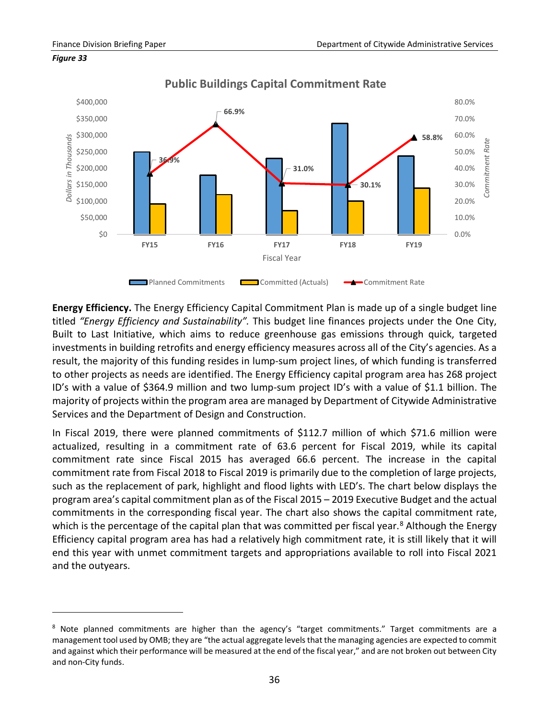

#### *Figure 33*

 $\overline{a}$ 

**Public Buildings Capital Commitment Rate**

**Energy Efficiency.** The Energy Efficiency Capital Commitment Plan is made up of a single budget line titled *"Energy Efficiency and Sustainability".* This budget line finances projects under the One City, Built to Last Initiative, which aims to reduce greenhouse gas emissions through quick, targeted investments in building retrofits and energy efficiency measures across all of the City's agencies. As a result, the majority of this funding resides in lump-sum project lines, of which funding is transferred to other projects as needs are identified. The Energy Efficiency capital program area has 268 project ID's with a value of \$364.9 million and two lump-sum project ID's with a value of \$1.1 billion. The majority of projects within the program area are managed by Department of Citywide Administrative Services and the Department of Design and Construction.

In Fiscal 2019, there were planned commitments of \$112.7 million of which \$71.6 million were actualized, resulting in a commitment rate of 63.6 percent for Fiscal 2019, while its capital commitment rate since Fiscal 2015 has averaged 66.6 percent. The increase in the capital commitment rate from Fiscal 2018 to Fiscal 2019 is primarily due to the completion of large projects, such as the replacement of park, highlight and flood lights with LED's. The chart below displays the program area's capital commitment plan as of the Fiscal 2015 – 2019 Executive Budget and the actual commitments in the corresponding fiscal year. The chart also shows the capital commitment rate, which is the percentage of the capital plan that was committed per fiscal year.<sup>[8](#page-38-0)</sup> Although the Energy Efficiency capital program area has had a relatively high commitment rate, it is still likely that it will end this year with unmet commitment targets and appropriations available to roll into Fiscal 2021 and the outyears.

<span id="page-38-0"></span> $8$  Note planned commitments are higher than the agency's "target commitments." Target commitments are a management tool used by OMB; they are "the actual aggregate levels that the managing agencies are expected to commit and against which their performance will be measured at the end of the fiscal year," and are not broken out between City and non-City funds.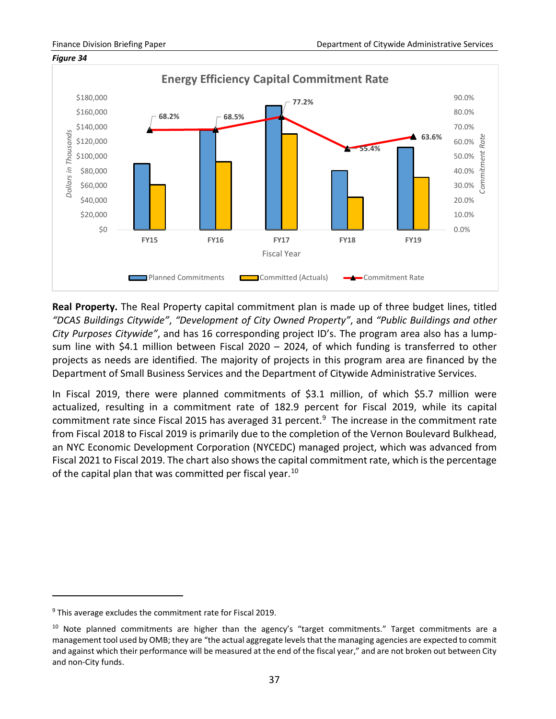

**Real Property.** The Real Property capital commitment plan is made up of three budget lines, titled *"DCAS Buildings Citywide"*, *"Development of City Owned Property"*, and *"Public Buildings and other City Purposes Citywide"*, and has 16 corresponding project ID's. The program area also has a lumpsum line with \$4.1 million between Fiscal 2020 – 2024, of which funding is transferred to other projects as needs are identified. The majority of projects in this program area are financed by the Department of Small Business Services and the Department of Citywide Administrative Services.

In Fiscal 2019, there were planned commitments of \$3.1 million, of which \$5.7 million were actualized, resulting in a commitment rate of 182.9 percent for Fiscal 2019, while its capital commitment rate since Fiscal 2015 has averaged 31 percent.<sup>[9](#page-39-0)</sup> The increase in the commitment rate from Fiscal 2018 to Fiscal 2019 is primarily due to the completion of the Vernon Boulevard Bulkhead, an NYC Economic Development Corporation (NYCEDC) managed project, which was advanced from Fiscal 2021 to Fiscal 2019. The chart also shows the capital commitment rate, which is the percentage of the capital plan that was committed per fiscal year.<sup>[10](#page-39-1)</sup>

 $\overline{a}$ 

<span id="page-39-0"></span> $9$  This average excludes the commitment rate for Fiscal 2019.

<span id="page-39-1"></span><sup>&</sup>lt;sup>10</sup> Note planned commitments are higher than the agency's "target commitments." Target commitments are a management tool used by OMB; they are "the actual aggregate levels that the managing agencies are expected to commit and against which their performance will be measured at the end of the fiscal year," and are not broken out between City and non-City funds.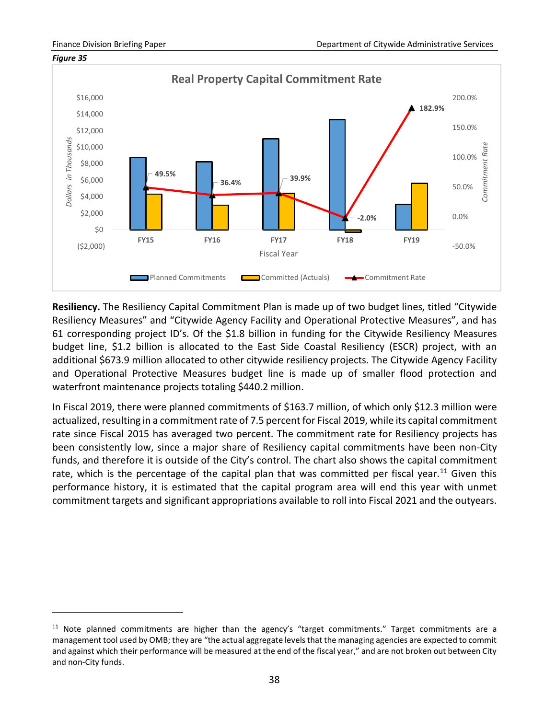$\overline{a}$ 



**Resiliency.** The Resiliency Capital Commitment Plan is made up of two budget lines, titled "Citywide Resiliency Measures" and "Citywide Agency Facility and Operational Protective Measures", and has 61 corresponding project ID's. Of the \$1.8 billion in funding for the Citywide Resiliency Measures budget line, \$1.2 billion is allocated to the East Side Coastal Resiliency (ESCR) project, with an additional \$673.9 million allocated to other citywide resiliency projects. The Citywide Agency Facility and Operational Protective Measures budget line is made up of smaller flood protection and waterfront maintenance projects totaling \$440.2 million.

In Fiscal 2019, there were planned commitments of \$163.7 million, of which only \$12.3 million were actualized, resulting in a commitment rate of 7.5 percent for Fiscal 2019, while its capital commitment rate since Fiscal 2015 has averaged two percent. The commitment rate for Resiliency projects has been consistently low, since a major share of Resiliency capital commitments have been non-City funds, and therefore it is outside of the City's control. The chart also shows the capital commitment rate, which is the percentage of the capital plan that was committed per fiscal year.<sup>[11](#page-40-0)</sup> Given this performance history, it is estimated that the capital program area will end this year with unmet commitment targets and significant appropriations available to roll into Fiscal 2021 and the outyears.

<span id="page-40-0"></span> $11$  Note planned commitments are higher than the agency's "target commitments." Target commitments are a management tool used by OMB; they are "the actual aggregate levels that the managing agencies are expected to commit and against which their performance will be measured at the end of the fiscal year," and are not broken out between City and non-City funds.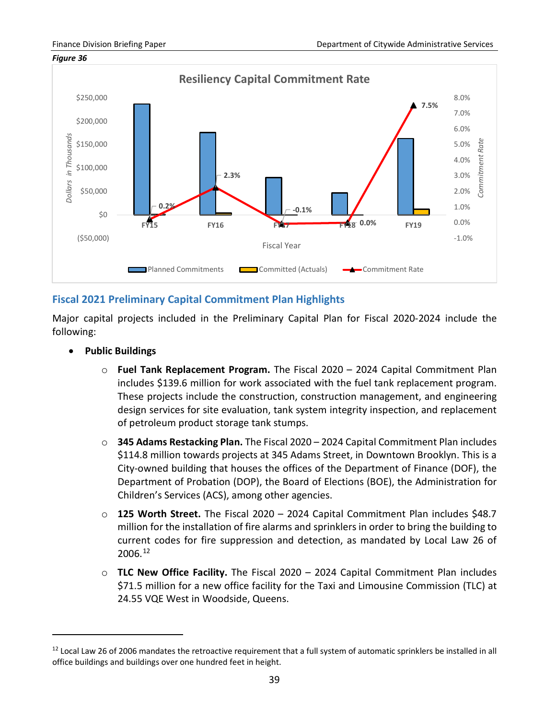

# <span id="page-41-0"></span>**Fiscal 2021 Preliminary Capital Commitment Plan Highlights**

Major capital projects included in the Preliminary Capital Plan for Fiscal 2020-2024 include the following:

• **Public Buildings**

 $\overline{a}$ 

- o **Fuel Tank Replacement Program.** The Fiscal 2020 2024 Capital Commitment Plan includes \$139.6 million for work associated with the fuel tank replacement program. These projects include the construction, construction management, and engineering design services for site evaluation, tank system integrity inspection, and replacement of petroleum product storage tank stumps.
- o **345 Adams Restacking Plan.** The Fiscal 2020 2024 Capital Commitment Plan includes \$114.8 million towards projects at 345 Adams Street, in Downtown Brooklyn. This is a City-owned building that houses the offices of the Department of Finance (DOF), the Department of Probation (DOP), the Board of Elections (BOE), the Administration for Children's Services (ACS), among other agencies.
- o **125 Worth Street.** The Fiscal 2020 2024 Capital Commitment Plan includes \$48.7 million for the installation of fire alarms and sprinklers in order to bring the building to current codes for fire suppression and detection, as mandated by Local Law 26 of 2006.[12](#page-41-1)
- o **TLC New Office Facility.** The Fiscal 2020 2024 Capital Commitment Plan includes \$71.5 million for a new office facility for the Taxi and Limousine Commission (TLC) at 24.55 VQE West in Woodside, Queens.

<span id="page-41-1"></span><sup>&</sup>lt;sup>12</sup> Local Law 26 of 2006 mandates the retroactive requirement that a full system of automatic sprinklers be installed in all office buildings and buildings over one hundred feet in height.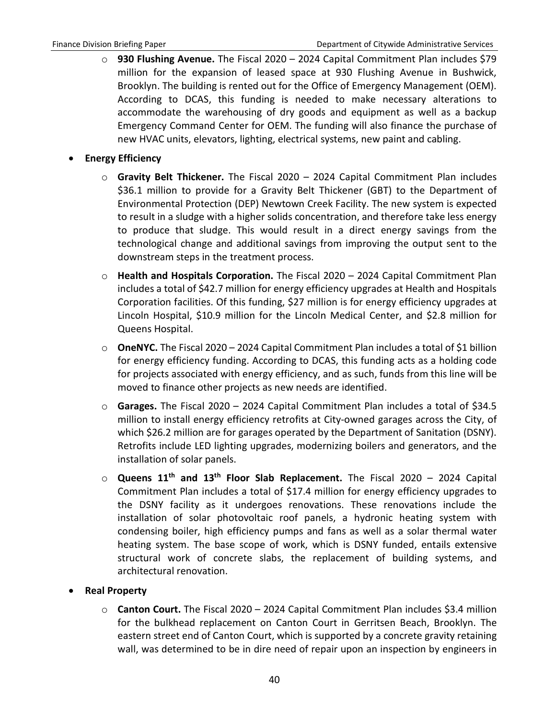- o **930 Flushing Avenue.** The Fiscal 2020 2024 Capital Commitment Plan includes \$79 million for the expansion of leased space at 930 Flushing Avenue in Bushwick, Brooklyn. The building is rented out for the Office of Emergency Management (OEM). According to DCAS, this funding is needed to make necessary alterations to accommodate the warehousing of dry goods and equipment as well as a backup Emergency Command Center for OEM. The funding will also finance the purchase of new HVAC units, elevators, lighting, electrical systems, new paint and cabling.
- **Energy Efficiency**
	- o **Gravity Belt Thickener.** The Fiscal 2020 2024 Capital Commitment Plan includes \$36.1 million to provide for a Gravity Belt Thickener (GBT) to the Department of Environmental Protection (DEP) Newtown Creek Facility. The new system is expected to result in a sludge with a higher solids concentration, and therefore take less energy to produce that sludge. This would result in a direct energy savings from the technological change and additional savings from improving the output sent to the downstream steps in the treatment process.
	- o **Health and Hospitals Corporation.** The Fiscal 2020 2024 Capital Commitment Plan includes a total of \$42.7 million for energy efficiency upgrades at Health and Hospitals Corporation facilities. Of this funding, \$27 million is for energy efficiency upgrades at Lincoln Hospital, \$10.9 million for the Lincoln Medical Center, and \$2.8 million for Queens Hospital.
	- o **OneNYC.** The Fiscal 2020 2024 Capital Commitment Plan includes a total of \$1 billion for energy efficiency funding. According to DCAS, this funding acts as a holding code for projects associated with energy efficiency, and as such, funds from this line will be moved to finance other projects as new needs are identified.
	- o **Garages.** The Fiscal 2020 2024 Capital Commitment Plan includes a total of \$34.5 million to install energy efficiency retrofits at City-owned garages across the City, of which \$26.2 million are for garages operated by the Department of Sanitation (DSNY). Retrofits include LED lighting upgrades, modernizing boilers and generators, and the installation of solar panels.
	- o **Queens 11th and 13th Floor Slab Replacement.** The Fiscal 2020 2024 Capital Commitment Plan includes a total of \$17.4 million for energy efficiency upgrades to the DSNY facility as it undergoes renovations. These renovations include the installation of solar photovoltaic roof panels, a hydronic heating system with condensing boiler, high efficiency pumps and fans as well as a solar thermal water heating system. The base scope of work, which is DSNY funded, entails extensive structural work of concrete slabs, the replacement of building systems, and architectural renovation.
- **Real Property**
	- o **Canton Court.** The Fiscal 2020 2024 Capital Commitment Plan includes \$3.4 million for the bulkhead replacement on Canton Court in Gerritsen Beach, Brooklyn. The eastern street end of Canton Court, which is supported by a concrete gravity retaining wall, was determined to be in dire need of repair upon an inspection by engineers in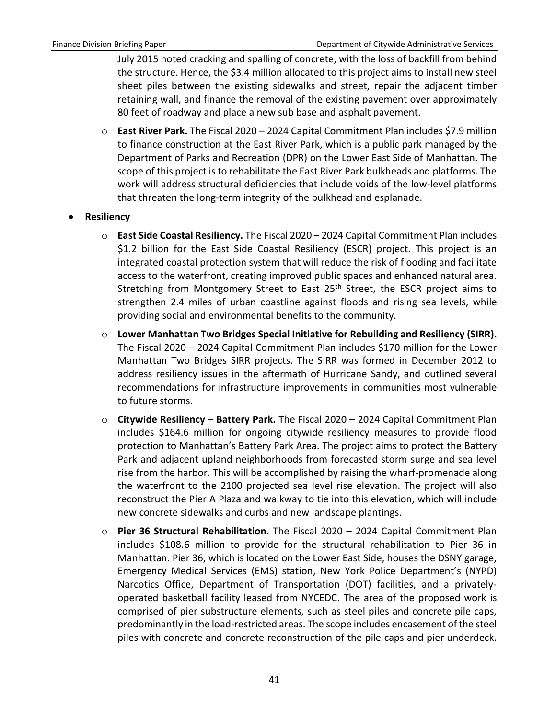July 2015 noted cracking and spalling of concrete, with the loss of backfill from behind the structure. Hence, the \$3.4 million allocated to this project aims to install new steel sheet piles between the existing sidewalks and street, repair the adjacent timber retaining wall, and finance the removal of the existing pavement over approximately 80 feet of roadway and place a new sub base and asphalt pavement.

- o **East River Park.** The Fiscal 2020 2024 Capital Commitment Plan includes \$7.9 million to finance construction at the East River Park, which is a public park managed by the Department of Parks and Recreation (DPR) on the Lower East Side of Manhattan. The scope of this project is to rehabilitate the East River Park bulkheads and platforms. The work will address structural deficiencies that include voids of the low-level platforms that threaten the long-term integrity of the bulkhead and esplanade.
- **Resiliency**
	- o **East Side Coastal Resiliency.** The Fiscal 2020 2024 Capital Commitment Plan includes \$1.2 billion for the East Side Coastal Resiliency (ESCR) project. This project is an integrated coastal protection system that will reduce the risk of flooding and facilitate access to the waterfront, creating improved public spaces and enhanced natural area. Stretching from Montgomery Street to East 25<sup>th</sup> Street, the ESCR project aims to strengthen 2.4 miles of urban coastline against floods and rising sea levels, while providing social and environmental benefits to the community.
	- o **Lower Manhattan Two Bridges Special Initiative for Rebuilding and Resiliency (SIRR).**  The Fiscal 2020 – 2024 Capital Commitment Plan includes \$170 million for the Lower Manhattan Two Bridges SIRR projects. The SIRR was formed in December 2012 to address resiliency issues in the aftermath of Hurricane Sandy, and outlined several recommendations for infrastructure improvements in communities most vulnerable to future storms.
	- o **Citywide Resiliency – Battery Park.** The Fiscal 2020 2024 Capital Commitment Plan includes \$164.6 million for ongoing citywide resiliency measures to provide flood protection to Manhattan's Battery Park Area. The project aims to protect the Battery Park and adjacent upland neighborhoods from forecasted storm surge and sea level rise from the harbor. This will be accomplished by raising the wharf-promenade along the waterfront to the 2100 projected sea level rise elevation. The project will also reconstruct the Pier A Plaza and walkway to tie into this elevation, which will include new concrete sidewalks and curbs and new landscape plantings.
	- o **Pier 36 Structural Rehabilitation.** The Fiscal 2020 2024 Capital Commitment Plan includes \$108.6 million to provide for the structural rehabilitation to Pier 36 in Manhattan. Pier 36, which is located on the Lower East Side, houses the DSNY garage, Emergency Medical Services (EMS) station, New York Police Department's (NYPD) Narcotics Office, Department of Transportation (DOT) facilities, and a privatelyoperated basketball facility leased from NYCEDC. The area of the proposed work is comprised of pier substructure elements, such as steel piles and concrete pile caps, predominantly in the load-restricted areas. The scope includes encasement of the steel piles with concrete and concrete reconstruction of the pile caps and pier underdeck.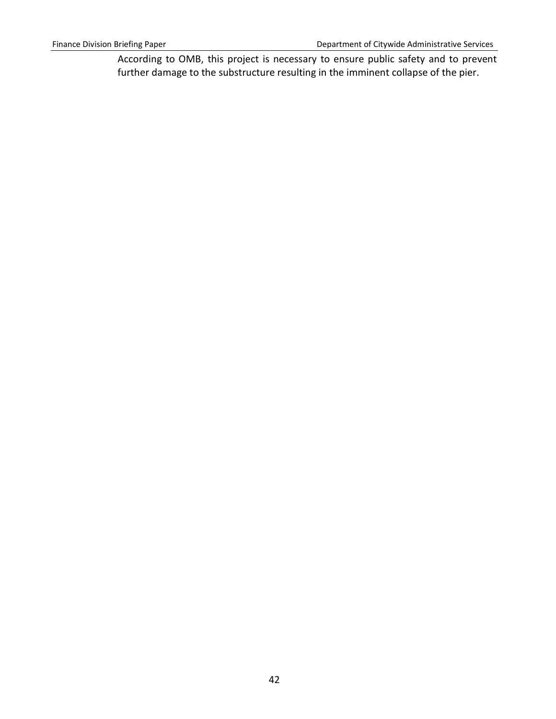According to OMB, this project is necessary to ensure public safety and to prevent further damage to the substructure resulting in the imminent collapse of the pier.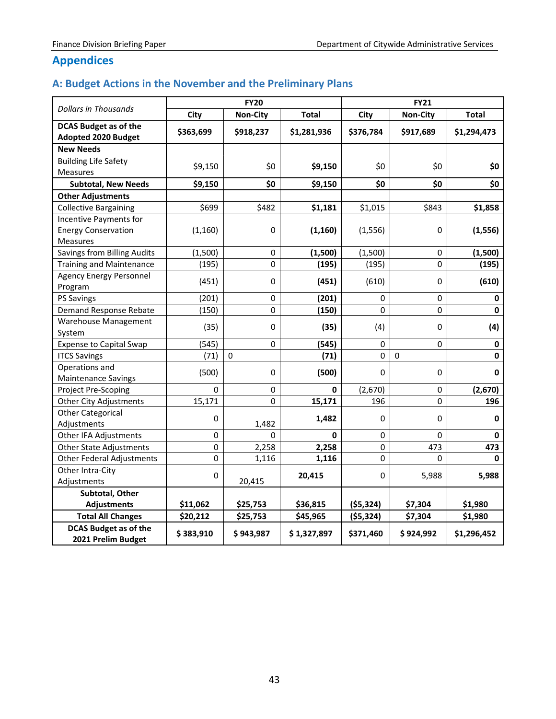# **Appendices**

# <span id="page-45-0"></span>**A: Budget Actions in the November and the Preliminary Plans**

|                                                            |               | <b>FY20</b>     |              |                | <b>FY21</b> |              |  |
|------------------------------------------------------------|---------------|-----------------|--------------|----------------|-------------|--------------|--|
| <b>Dollars in Thousands</b>                                | City          | <b>Non-City</b> | <b>Total</b> | City           | Non-City    | <b>Total</b> |  |
| <b>DCAS Budget as of the</b><br><b>Adopted 2020 Budget</b> | \$363,699     | \$918,237       | \$1,281,936  | \$376,784      | \$917,689   | \$1,294,473  |  |
| <b>New Needs</b>                                           |               |                 |              |                |             |              |  |
| <b>Building Life Safety</b>                                | \$9,150       | \$0             | \$9,150      | \$0            | \$0         | \$0          |  |
| Measures                                                   |               |                 |              |                |             |              |  |
| <b>Subtotal, New Needs</b>                                 | \$9,150       | \$0             | \$9,150      | \$0            | \$0         | \$0          |  |
| <b>Other Adjustments</b>                                   |               |                 |              |                |             |              |  |
| <b>Collective Bargaining</b>                               | \$699         | \$482           | \$1,181      | \$1,015        | \$843       | \$1,858      |  |
| Incentive Payments for                                     |               |                 |              |                |             |              |  |
| <b>Energy Conservation</b>                                 | (1, 160)      | $\mathbf 0$     | (1, 160)     | (1, 556)       | 0           | (1, 556)     |  |
| Measures                                                   |               |                 |              |                |             |              |  |
| <b>Savings from Billing Audits</b>                         | (1,500)       | $\pmb{0}$       | (1,500)      | (1,500)        | 0           | (1,500)      |  |
| <b>Training and Maintenance</b>                            | (195)         | 0               | (195)        | (195)          | 0           | (195)        |  |
| <b>Agency Energy Personnel</b>                             | (451)         | 0               | (451)        | (610)          | 0           | (610)        |  |
| Program                                                    |               |                 |              |                |             |              |  |
| PS Savings                                                 | (201)         | 0               | (201)        | 0              | 0           | 0            |  |
| Demand Response Rebate                                     | (150)         | 0               | (150)        | 0              | 0           | $\mathbf 0$  |  |
| <b>Warehouse Management</b>                                | (35)          | 0               | (35)         | (4)            | 0           | (4)          |  |
| System                                                     |               |                 |              |                |             |              |  |
| <b>Expense to Capital Swap</b>                             | (545)<br>(71) | 0               | (545)        | $\pmb{0}$<br>0 | 0           | 0            |  |
| <b>ITCS Savings</b>                                        |               | $\mathbf{0}$    | (71)         |                | 0           | 0            |  |
| Operations and<br><b>Maintenance Savings</b>               | (500)         | 0               | (500)        | 0              | 0           | $\mathbf 0$  |  |
| Project Pre-Scoping                                        | $\mathbf 0$   | 0               | 0            | (2,670)        | 0           | (2,670)      |  |
| <b>Other City Adjustments</b>                              | 15,171        | 0               | 15,171       | 196            | 0           | 196          |  |
| <b>Other Categorical</b>                                   | 0             |                 | 1,482        | 0              | 0           | $\mathbf 0$  |  |
| Adjustments                                                |               | 1,482           |              |                |             |              |  |
| Other IFA Adjustments                                      | $\Omega$      | 0               | 0            | 0              | 0           | 0            |  |
| <b>Other State Adjustments</b>                             | $\mathbf 0$   | 2,258           | 2,258        | 0              | 473         | 473          |  |
| <b>Other Federal Adjustments</b>                           | 0             | 1,116           | 1,116        | 0              | $\Omega$    | $\mathbf{0}$ |  |
| Other Intra-City                                           | $\mathbf 0$   |                 | 20,415       | 0              | 5,988       | 5,988        |  |
| Adjustments                                                |               | 20,415          |              |                |             |              |  |
| Subtotal, Other                                            |               |                 |              |                |             |              |  |
| <b>Adjustments</b>                                         | \$11,062      | \$25,753        | \$36,815     | (55, 324)      | \$7,304     | \$1,980      |  |
| <b>Total All Changes</b>                                   | \$20,212      | \$25,753        | \$45,965     | ( \$5,324)     | \$7,304     | \$1,980      |  |
| <b>DCAS Budget as of the</b><br>2021 Prelim Budget         | \$383,910     | \$943,987       | \$1,327,897  | \$371,460      | \$924,992   | \$1,296,452  |  |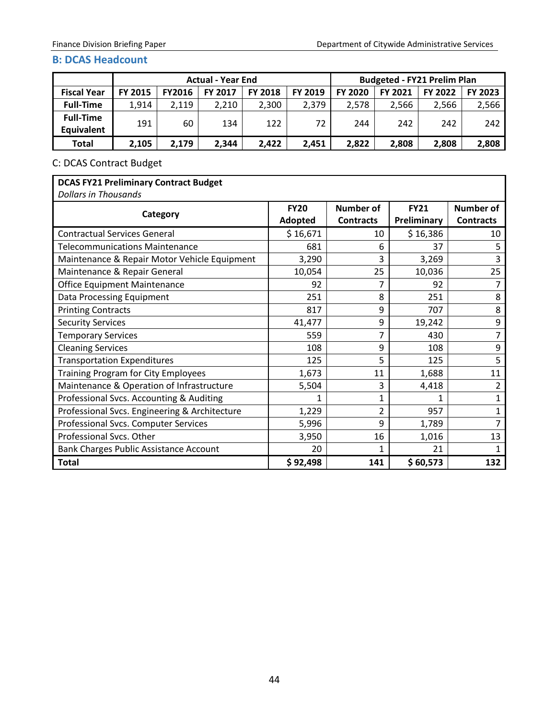#### <span id="page-46-0"></span>**B: DCAS Headcount**

|                    | <b>Actual - Year End</b> |               |                |                |         |                |                | <b>Budgeted - FY21 Prelim Plan</b> |         |
|--------------------|--------------------------|---------------|----------------|----------------|---------|----------------|----------------|------------------------------------|---------|
| <b>Fiscal Year</b> | <b>FY 2015</b>           | <b>FY2016</b> | <b>FY 2017</b> | <b>FY 2018</b> | FY 2019 | <b>FY 2020</b> | <b>FY 2021</b> | <b>FY 2022</b>                     | FY 2023 |
| <b>Full-Time</b>   | 1.914                    | 2.119         | 2.210          | 2,300          | 2.379   | 2.578          | 2.566          | 2.566                              | 2,566   |
| <b>Full-Time</b>   | 191                      | 60            | 134            | 122            | 72      | 244            | 242            | 242                                | 242     |
| <b>Equivalent</b>  |                          |               |                |                |         |                |                |                                    |         |
| <b>Total</b>       | 2,105                    | 2,179         | 2,344          | 2,422          | 2.451   | 2,822          | 2,808          | 2,808                              | 2,808   |

# C: DCAS Contract Budget

# **DCAS FY21 Preliminary Contract Budget**

*Dollars in Thousands*

| Category                                      | <b>FY20</b><br>Adopted | <b>Number of</b><br><b>Contracts</b> | <b>FY21</b><br>Preliminary | <b>Number of</b><br><b>Contracts</b> |
|-----------------------------------------------|------------------------|--------------------------------------|----------------------------|--------------------------------------|
| <b>Contractual Services General</b>           | \$16,671               | 10                                   | \$16,386                   | 10                                   |
| <b>Telecommunications Maintenance</b>         | 681                    | 6                                    | 37                         | 5                                    |
| Maintenance & Repair Motor Vehicle Equipment  | 3,290                  | 3                                    | 3,269                      | 3                                    |
| Maintenance & Repair General                  | 10,054                 | 25                                   | 10,036                     | 25                                   |
| <b>Office Equipment Maintenance</b>           | 92                     | 7                                    | 92                         | 7                                    |
| Data Processing Equipment                     | 251                    | 8                                    | 251                        | 8                                    |
| <b>Printing Contracts</b>                     | 817                    | 9                                    | 707                        | 8                                    |
| <b>Security Services</b>                      | 41,477                 | 9                                    | 19,242                     | 9                                    |
| <b>Temporary Services</b>                     | 559                    | 7                                    | 430                        | 7                                    |
| <b>Cleaning Services</b>                      | 108                    | 9                                    | 108                        | 9                                    |
| <b>Transportation Expenditures</b>            | 125                    | 5                                    | 125                        | 5                                    |
| Training Program for City Employees           | 1,673                  | 11                                   | 1,688                      | 11                                   |
| Maintenance & Operation of Infrastructure     | 5,504                  | 3                                    | 4,418                      | 2                                    |
| Professional Svcs. Accounting & Auditing      | 1                      | $\mathbf{1}$                         |                            |                                      |
| Professional Svcs. Engineering & Architecture | 1,229                  | 2                                    | 957                        |                                      |
| Professional Svcs. Computer Services          | 5,996                  | 9                                    | 1,789                      |                                      |
| Professional Svcs. Other                      | 3,950                  | 16                                   | 1,016                      | 13                                   |
| Bank Charges Public Assistance Account        | 20                     | 1                                    | 21                         |                                      |
| <b>Total</b>                                  | \$92,498               | 141                                  | \$60,573                   | 132                                  |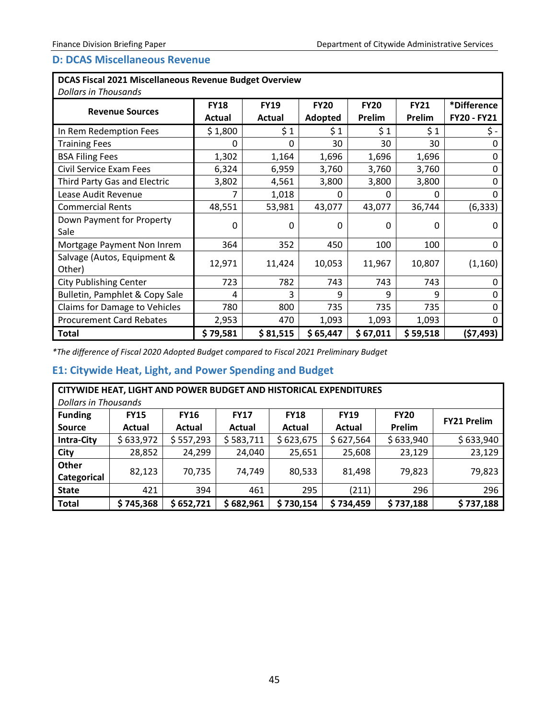# <span id="page-47-0"></span>**D: DCAS Miscellaneous Revenue**

# **DCAS Fiscal 2021 Miscellaneous Revenue Budget Overview**

| <b>Dollars in Thousands</b>           |                       |                       |                        |                       |                       |                            |
|---------------------------------------|-----------------------|-----------------------|------------------------|-----------------------|-----------------------|----------------------------|
| <b>Revenue Sources</b>                | <b>FY18</b><br>Actual | <b>FY19</b><br>Actual | <b>FY20</b><br>Adopted | <b>FY20</b><br>Prelim | <b>FY21</b><br>Prelim | *Difference<br>FY20 - FY21 |
| In Rem Redemption Fees                | \$1,800               | \$1                   | \$1                    | \$1                   | \$1                   | \$-                        |
| <b>Training Fees</b>                  | 0                     | 0                     | 30                     | 30                    | 30                    | O                          |
| <b>BSA Filing Fees</b>                | 1,302                 | 1,164                 | 1,696                  | 1,696                 | 1,696                 | 0                          |
| Civil Service Exam Fees               | 6,324                 | 6,959                 | 3,760                  | 3,760                 | 3,760                 |                            |
| Third Party Gas and Electric          | 3,802                 | 4,561                 | 3,800                  | 3,800                 | 3,800                 | 0                          |
| Lease Audit Revenue                   |                       | 1,018                 | 0                      | 0                     | 0                     | O                          |
| <b>Commercial Rents</b>               | 48,551                | 53,981                | 43,077                 | 43,077                | 36,744                | (6, 333)                   |
| Down Payment for Property<br>Sale     | 0                     | 0                     | O                      | 0                     | 0                     | 0                          |
| Mortgage Payment Non Inrem            | 364                   | 352                   | 450                    | 100                   | 100                   | 0                          |
| Salvage (Autos, Equipment &<br>Other) | 12,971                | 11,424                | 10,053                 | 11,967                | 10,807                | (1, 160)                   |
| <b>City Publishing Center</b>         | 723                   | 782                   | 743                    | 743                   | 743                   |                            |
| Bulletin, Pamphlet & Copy Sale        | 4                     | 3                     | 9                      | q                     | 9                     |                            |
| Claims for Damage to Vehicles         | 780                   | 800                   | 735                    | 735                   | 735                   |                            |
| <b>Procurement Card Rebates</b>       | 2,953                 | 470                   | 1,093                  | 1,093                 | 1,093                 | ŋ                          |
| <b>Total</b>                          | \$79,581              | \$81,515              | \$65,447               | \$67,011              | \$59,518              | (\$7,493)                  |

*\*The difference of Fiscal 2020 Adopted Budget compared to Fiscal 2021 Preliminary Budget*

# <span id="page-47-1"></span>**E1: Citywide Heat, Light, and Power Spending and Budget**

| CITYWIDE HEAT, LIGHT AND POWER BUDGET AND HISTORICAL EXPENDITURES<br><b>Dollars in Thousands</b> |                       |                       |                       |                       |                       |                       |                    |  |  |  |
|--------------------------------------------------------------------------------------------------|-----------------------|-----------------------|-----------------------|-----------------------|-----------------------|-----------------------|--------------------|--|--|--|
| <b>Funding</b><br><b>Source</b>                                                                  | <b>FY15</b><br>Actual | <b>FY16</b><br>Actual | <b>FY17</b><br>Actual | <b>FY18</b><br>Actual | <b>FY19</b><br>Actual | <b>FY20</b><br>Prelim | <b>FY21 Prelim</b> |  |  |  |
| <b>Intra-City</b>                                                                                | \$633,972             | \$557,293             | \$583,711             | \$623,675             | \$627,564             | \$633,940             | \$633,940          |  |  |  |
| <b>City</b>                                                                                      | 28,852                | 24,299                | 24,040                | 25,651                | 25,608                | 23,129                | 23,129             |  |  |  |
| Other<br>Categorical                                                                             | 82,123                | 70,735                | 74,749                | 80,533                | 81,498                | 79,823                | 79,823             |  |  |  |
| <b>State</b>                                                                                     | 421                   | 394                   | 461                   | 295                   | (211)                 | 296                   | 296                |  |  |  |
| <b>Total</b>                                                                                     | \$745,368             | \$652,721             | \$682,961             | 730,154<br>S          | \$734,459             | \$737,188             | \$737,188          |  |  |  |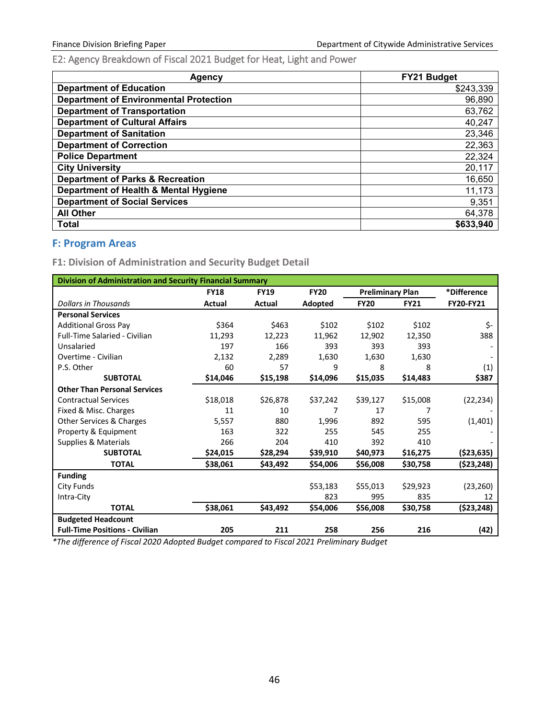<span id="page-48-0"></span>E2: Agency Breakdown of Fiscal 2021 Budget for Heat, Light and Power

| Agency                                        | <b>FY21 Budget</b> |
|-----------------------------------------------|--------------------|
| <b>Department of Education</b>                | \$243,339          |
| <b>Department of Environmental Protection</b> | 96,890             |
| <b>Department of Transportation</b>           | 63,762             |
| <b>Department of Cultural Affairs</b>         | 40,247             |
| <b>Department of Sanitation</b>               | 23,346             |
| <b>Department of Correction</b>               | 22,363             |
| <b>Police Department</b>                      | 22,324             |
| <b>City University</b>                        | 20,117             |
| <b>Department of Parks &amp; Recreation</b>   | 16,650             |
| Department of Health & Mental Hygiene         | 11,173             |
| <b>Department of Social Services</b>          | 9,351              |
| <b>All Other</b>                              | 64,378             |
| <b>Total</b>                                  | \$633,940          |

# <span id="page-48-1"></span>**F: Program Areas**

<span id="page-48-2"></span>**F1: Division of Administration and Security Budget Detail**

| <b>Division of Administration and Security Financial Summary</b> |               |             |             |                         |             |                  |  |  |
|------------------------------------------------------------------|---------------|-------------|-------------|-------------------------|-------------|------------------|--|--|
|                                                                  | <b>FY18</b>   | <b>FY19</b> | <b>FY20</b> | <b>Preliminary Plan</b> |             | *Difference      |  |  |
| <b>Dollars in Thousands</b>                                      | <b>Actual</b> | Actual      | Adopted     | <b>FY20</b>             | <b>FY21</b> | <b>FY20-FY21</b> |  |  |
| <b>Personal Services</b>                                         |               |             |             |                         |             |                  |  |  |
| <b>Additional Gross Pay</b>                                      | \$364         | \$463       | \$102       | \$102                   | \$102       | \$-              |  |  |
| <b>Full-Time Salaried - Civilian</b>                             | 11,293        | 12,223      | 11,962      | 12,902                  | 12,350      | 388              |  |  |
| Unsalaried                                                       | 197           | 166         | 393         | 393                     | 393         |                  |  |  |
| Overtime - Civilian                                              | 2,132         | 2,289       | 1,630       | 1,630                   | 1,630       |                  |  |  |
| P.S. Other                                                       | 60            | 57          | 9           | 8                       | 8           | (1)              |  |  |
| <b>SUBTOTAL</b>                                                  | \$14,046      | \$15,198    | \$14,096    | \$15,035                | \$14,483    | \$387            |  |  |
| <b>Other Than Personal Services</b>                              |               |             |             |                         |             |                  |  |  |
| <b>Contractual Services</b>                                      | \$18,018      | \$26,878    | \$37,242    | \$39,127                | \$15,008    | (22, 234)        |  |  |
| Fixed & Misc. Charges                                            | 11            | 10          | 7           | 17                      | 7           |                  |  |  |
| Other Services & Charges                                         | 5,557         | 880         | 1,996       | 892                     | 595         | (1,401)          |  |  |
| Property & Equipment                                             | 163           | 322         | 255         | 545                     | 255         |                  |  |  |
| <b>Supplies &amp; Materials</b>                                  | 266           | 204         | 410         | 392                     | 410         |                  |  |  |
| <b>SUBTOTAL</b>                                                  | \$24,015      | \$28,294    | \$39,910    | \$40,973                | \$16,275    | $($ \$23,635)    |  |  |
| <b>TOTAL</b>                                                     | \$38,061      | \$43,492    | \$54,006    | \$56,008                | \$30,758    | $($ \$23,248)    |  |  |
| <b>Funding</b>                                                   |               |             |             |                         |             |                  |  |  |
| City Funds                                                       |               |             | \$53,183    | \$55,013                | \$29,923    | (23, 260)        |  |  |
| Intra-City                                                       |               |             | 823         | 995                     | 835         | 12               |  |  |
| <b>TOTAL</b>                                                     | \$38,061      | \$43,492    | \$54,006    | \$56,008                | \$30,758    | $($ \$23,248)    |  |  |
| <b>Budgeted Headcount</b>                                        |               |             |             |                         |             |                  |  |  |
| <b>Full-Time Positions - Civilian</b>                            | 205           | 211         | 258         | 256                     | 216         | (42)             |  |  |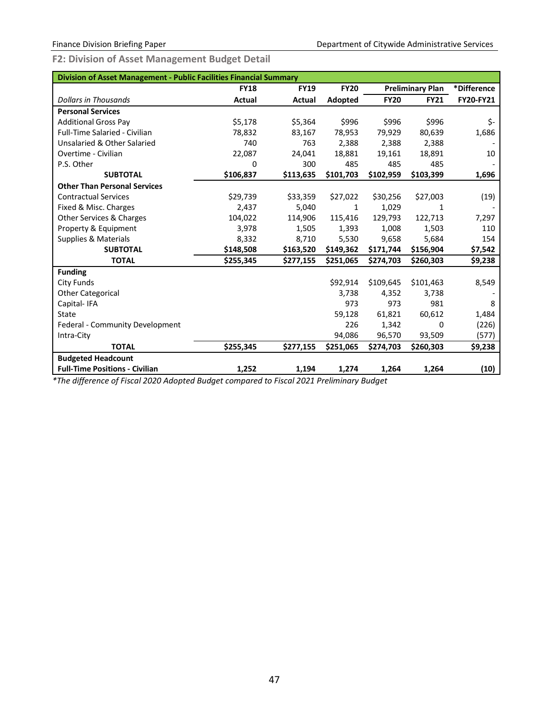<span id="page-49-0"></span>**F2: Division of Asset Management Budget Detail**

| <b>Division of Asset Management - Public Facilities Financial Summary</b> |             |                      |                  |             |                         |             |  |  |
|---------------------------------------------------------------------------|-------------|----------------------|------------------|-------------|-------------------------|-------------|--|--|
|                                                                           | <b>FY18</b> | <b>FY19</b>          | <b>FY20</b>      |             | <b>Preliminary Plan</b> | *Difference |  |  |
| <b>Dollars in Thousands</b>                                               | Actual      | Actual               | Adopted          | <b>FY20</b> | <b>FY21</b>             | FY20-FY21   |  |  |
| <b>Personal Services</b>                                                  |             |                      |                  |             |                         |             |  |  |
| <b>Additional Gross Pay</b>                                               | \$5,178     | \$5,364              | \$996            | \$996       | \$996                   | \$-         |  |  |
| Full-Time Salaried - Civilian                                             | 78,832      | 83,167               | 78,953           | 79,929      | 80,639                  | 1,686       |  |  |
| Unsalaried & Other Salaried                                               | 740         | 763                  | 2,388            | 2,388       | 2,388                   |             |  |  |
| Overtime - Civilian                                                       | 22,087      | 24.041               | 18,881           | 19,161      | 18,891                  | 10          |  |  |
| P.S. Other                                                                | 0           | 300                  | 485              | 485         | 485                     |             |  |  |
| <b>SUBTOTAL</b>                                                           | \$106,837   | \$113,635            | \$101,703        | \$102,959   | \$103,399               | 1,696       |  |  |
| <b>Other Than Personal Services</b>                                       |             |                      |                  |             |                         |             |  |  |
| <b>Contractual Services</b>                                               | \$29,739    | \$33,359             | \$27,022         | \$30,256    | \$27,003                | (19)        |  |  |
| Fixed & Misc. Charges                                                     | 2,437       | 5,040                | 1                | 1,029       | 1                       |             |  |  |
| Other Services & Charges                                                  | 104,022     | 114,906              | 115,416          | 129,793     | 122,713                 | 7,297       |  |  |
| Property & Equipment                                                      | 3,978       | 1,505                | 1,393            | 1,008       | 1,503                   | 110         |  |  |
| <b>Supplies &amp; Materials</b>                                           | 8,332       | 8,710                | 5,530            | 9,658       | 5,684                   | 154         |  |  |
| <b>SUBTOTAL</b>                                                           | \$148,508   | \$163,520            | \$149,362        | \$171,744   | \$156,904               | \$7,542     |  |  |
| <b>TOTAL</b>                                                              | \$255,345   | \$277,155            | \$251,065        | \$274,703   | \$260,303               | \$9,238     |  |  |
| <b>Funding</b>                                                            |             |                      |                  |             |                         |             |  |  |
| <b>City Funds</b>                                                         |             |                      | \$92,914         | \$109,645   | \$101,463               | 8,549       |  |  |
| <b>Other Categorical</b>                                                  |             |                      | 3,738            | 4,352       | 3,738                   |             |  |  |
| Capital-IFA                                                               |             |                      | 973              | 973         | 981                     | 8           |  |  |
| State                                                                     |             |                      | 59,128           | 61,821      | 60,612                  | 1,484       |  |  |
| Federal - Community Development                                           |             |                      | 226              | 1,342       | 0                       | (226)       |  |  |
| Intra-City                                                                |             |                      | 94,086           | 96,570      | 93,509                  | (577)       |  |  |
| <b>TOTAL</b>                                                              | \$255,345   | \$277,155            | \$251,065        | \$274,703   | \$260,303               | \$9,238     |  |  |
| <b>Budgeted Headcount</b>                                                 |             |                      |                  |             |                         |             |  |  |
| <b>Full-Time Positions - Civilian</b><br>1.00<br>$\sim$ $-$               | 1,252       | 1,194<br>$1 - 2 - 1$ | 1,274<br>$\cdot$ | 1,264       | 1,264                   | (10)        |  |  |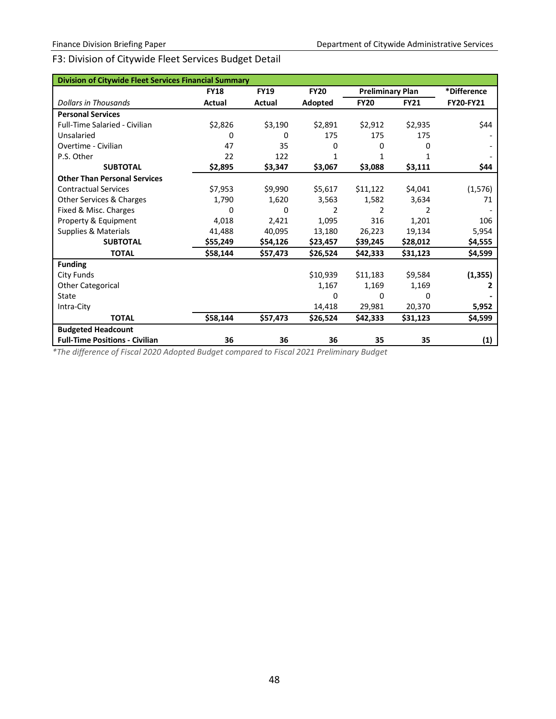# F3: Division of Citywide Fleet Services Budget Detail

| <b>Division of Citywide Fleet Services Financial Summary</b> |             |             |             |                         |             |             |
|--------------------------------------------------------------|-------------|-------------|-------------|-------------------------|-------------|-------------|
|                                                              | <b>FY18</b> | <b>FY19</b> | <b>FY20</b> | <b>Preliminary Plan</b> |             | *Difference |
| <b>Dollars in Thousands</b>                                  | Actual      | Actual      | Adopted     | <b>FY20</b>             | <b>FY21</b> | FY20-FY21   |
| <b>Personal Services</b>                                     |             |             |             |                         |             |             |
| <b>Full-Time Salaried - Civilian</b>                         | \$2,826     | \$3,190     | \$2,891     | \$2,912                 | \$2,935     | \$44        |
| Unsalaried                                                   | 0           | 0           | 175         | 175                     | 175         |             |
| Overtime - Civilian                                          | 47          | 35          | 0           | 0                       | 0           |             |
| P.S. Other                                                   | 22          | 122         | 1           |                         |             |             |
| <b>SUBTOTAL</b>                                              | \$2,895     | \$3,347     | \$3,067     | \$3,088                 | \$3,111     | \$44        |
| <b>Other Than Personal Services</b>                          |             |             |             |                         |             |             |
| <b>Contractual Services</b>                                  | \$7,953     | \$9,990     | \$5,617     | \$11,122                | \$4,041     | (1, 576)    |
| Other Services & Charges                                     | 1,790       | 1,620       | 3,563       | 1,582                   | 3,634       | 71          |
| Fixed & Misc. Charges                                        | 0           | 0           | 2           | 2                       | 2           |             |
| Property & Equipment                                         | 4,018       | 2,421       | 1,095       | 316                     | 1,201       | 106         |
| Supplies & Materials                                         | 41,488      | 40,095      | 13,180      | 26,223                  | 19,134      | 5,954       |
| <b>SUBTOTAL</b>                                              | \$55,249    | \$54,126    | \$23,457    | \$39,245                | \$28,012    | \$4,555     |
| <b>TOTAL</b>                                                 | \$58,144    | \$57,473    | \$26,524    | \$42,333                | \$31,123    | \$4,599     |
| <b>Funding</b>                                               |             |             |             |                         |             |             |
| City Funds                                                   |             |             | \$10,939    | \$11,183                | \$9,584     | (1, 355)    |
| <b>Other Categorical</b>                                     |             |             | 1,167       | 1,169                   | 1,169       | 2           |
| State                                                        |             |             | 0           | 0                       | n           |             |
| Intra-City                                                   |             |             | 14,418      | 29,981                  | 20,370      | 5,952       |
| <b>TOTAL</b>                                                 | \$58,144    | \$57,473    | \$26,524    | \$42,333                | \$31,123    | \$4,599     |
| <b>Budgeted Headcount</b>                                    |             |             |             |                         |             |             |
| <b>Full-Time Positions - Civilian</b>                        | 36          | 36          | 36          | 35                      | 35          | (1)         |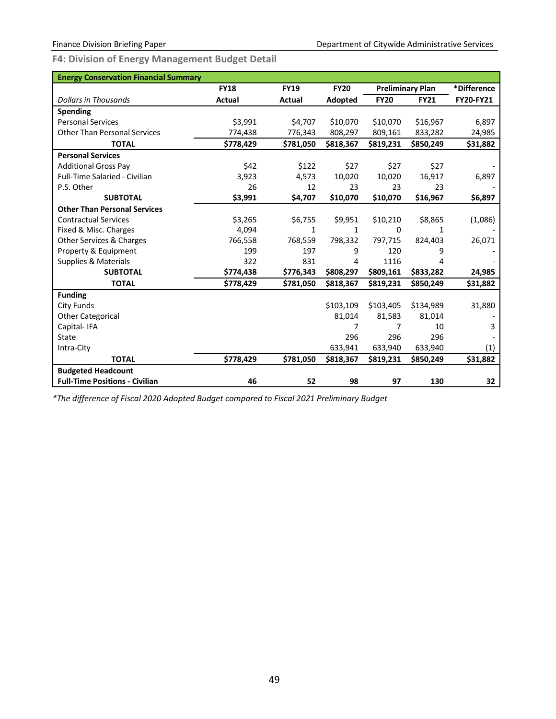<span id="page-51-0"></span>**F4: Division of Energy Management Budget Detail**

| <b>Energy Conservation Financial Summary</b> |             |             |             |             |                         |                  |
|----------------------------------------------|-------------|-------------|-------------|-------------|-------------------------|------------------|
|                                              | <b>FY18</b> | <b>FY19</b> | <b>FY20</b> |             | <b>Preliminary Plan</b> | *Difference      |
| <b>Dollars in Thousands</b>                  | Actual      | Actual      | Adopted     | <b>FY20</b> | <b>FY21</b>             | <b>FY20-FY21</b> |
| Spending                                     |             |             |             |             |                         |                  |
| <b>Personal Services</b>                     | \$3.991     | \$4,707     | \$10.070    | \$10,070    | \$16,967                | 6,897            |
| <b>Other Than Personal Services</b>          | 774,438     | 776,343     | 808,297     | 809,161     | 833,282                 | 24,985           |
| <b>TOTAL</b>                                 | \$778,429   | \$781,050   | \$818,367   | \$819,231   | \$850,249               | \$31,882         |
| <b>Personal Services</b>                     |             |             |             |             |                         |                  |
| <b>Additional Gross Pay</b>                  | \$42        | \$122       | \$27        | \$27        | \$27                    |                  |
| <b>Full-Time Salaried - Civilian</b>         | 3,923       | 4,573       | 10,020      | 10,020      | 16,917                  | 6,897            |
| P.S. Other                                   | 26          | 12          | 23          | 23          | 23                      |                  |
| <b>SUBTOTAL</b>                              | \$3,991     | \$4,707     | \$10,070    | \$10,070    | \$16,967                | \$6,897          |
| <b>Other Than Personal Services</b>          |             |             |             |             |                         |                  |
| <b>Contractual Services</b>                  | \$3,265     | \$6,755     | \$9,951     | \$10,210    | \$8,865                 | (1,086)          |
| Fixed & Misc. Charges                        | 4,094       | 1           | 1           | 0           | 1                       |                  |
| Other Services & Charges                     | 766,558     | 768,559     | 798,332     | 797,715     | 824,403                 | 26,071           |
| Property & Equipment                         | 199         | 197         | 9           | 120         | 9                       |                  |
| <b>Supplies &amp; Materials</b>              | 322         | 831         | 4           | 1116        | 4                       |                  |
| <b>SUBTOTAL</b>                              | \$774,438   | \$776,343   | \$808,297   | \$809,161   | \$833,282               | 24,985           |
| <b>TOTAL</b>                                 | \$778,429   | \$781,050   | \$818,367   | \$819,231   | \$850,249               | \$31,882         |
| <b>Funding</b>                               |             |             |             |             |                         |                  |
| <b>City Funds</b>                            |             |             | \$103,109   | \$103,405   | \$134,989               | 31,880           |
| <b>Other Categorical</b>                     |             |             | 81,014      | 81,583      | 81,014                  |                  |
| Capital-IFA                                  |             |             | 7           | 7           | 10                      | 3                |
| State                                        |             |             | 296         | 296         | 296                     |                  |
| Intra-City                                   |             |             | 633,941     | 633,940     | 633,940                 | (1)              |
| <b>TOTAL</b>                                 | \$778,429   | \$781,050   | \$818,367   | \$819,231   | \$850,249               | \$31,882         |
| <b>Budgeted Headcount</b>                    |             |             |             |             |                         |                  |
| <b>Full-Time Positions - Civilian</b>        | 46          | 52          | 98          | 97          | 130                     | 32               |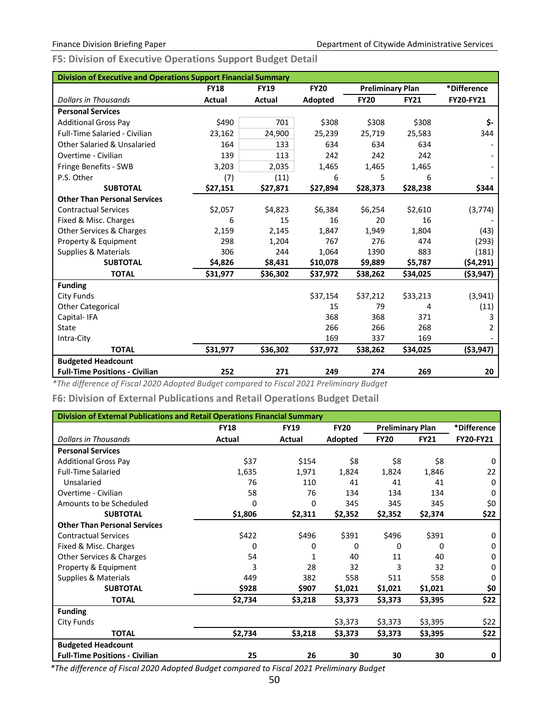<span id="page-52-0"></span>**F5: Division of Executive Operations Support Budget Detail**

| <b>Division of Executive and Operations Support Financial Summary</b> |               |             |             |                         |             |                  |
|-----------------------------------------------------------------------|---------------|-------------|-------------|-------------------------|-------------|------------------|
|                                                                       | <b>FY18</b>   | <b>FY19</b> | <b>FY20</b> | <b>Preliminary Plan</b> |             | *Difference      |
| <b>Dollars in Thousands</b>                                           | <b>Actual</b> | Actual      | Adopted     | <b>FY20</b>             | <b>FY21</b> | <b>FY20-FY21</b> |
| <b>Personal Services</b>                                              |               |             |             |                         |             |                  |
| <b>Additional Gross Pay</b>                                           | \$490         | 701         | \$308       | \$308                   | \$308       | \$-              |
| <b>Full-Time Salaried - Civilian</b>                                  | 23,162        | 24,900      | 25,239      | 25,719                  | 25,583      | 344              |
| Other Salaried & Unsalaried                                           | 164           | 133         | 634         | 634                     | 634         |                  |
| Overtime - Civilian                                                   | 139           | 113         | 242         | 242                     | 242         |                  |
| Fringe Benefits - SWB                                                 | 3,203         | 2,035       | 1,465       | 1,465                   | 1,465       |                  |
| P.S. Other                                                            | (7)           | (11)        | 6           | 5                       | 6           |                  |
| <b>SUBTOTAL</b>                                                       | \$27,151      | \$27,871    | \$27,894    | \$28,373                | \$28,238    | \$344            |
| <b>Other Than Personal Services</b>                                   |               |             |             |                         |             |                  |
| <b>Contractual Services</b>                                           | \$2,057       | \$4,823     | \$6,384     | \$6,254                 | \$2,610     | (3, 774)         |
| Fixed & Misc. Charges                                                 | 6             | 15          | 16          | 20                      | 16          |                  |
| <b>Other Services &amp; Charges</b>                                   | 2,159         | 2,145       | 1,847       | 1,949                   | 1,804       | (43)             |
| Property & Equipment                                                  | 298           | 1,204       | 767         | 276                     | 474         | (293)            |
| <b>Supplies &amp; Materials</b>                                       | 306           | 244         | 1,064       | 1390                    | 883         | (181)            |
| <b>SUBTOTAL</b>                                                       | \$4,826       | \$8,431     | \$10,078    | \$9,889                 | \$5,787     | (\$4,291)        |
| <b>TOTAL</b>                                                          | \$31,977      | \$36,302    | \$37,972    | \$38,262                | \$34,025    | ( \$3, 947)      |
| <b>Funding</b>                                                        |               |             |             |                         |             |                  |
| <b>City Funds</b>                                                     |               |             | \$37,154    | \$37,212                | \$33,213    | (3,941)          |
| <b>Other Categorical</b>                                              |               |             | 15          | 79                      | 4           | (11)             |
| Capital-IFA                                                           |               |             | 368         | 368                     | 371         | 3                |
| <b>State</b>                                                          |               |             | 266         | 266                     | 268         | 2                |
| Intra-City                                                            |               |             | 169         | 337                     | 169         |                  |
| <b>TOTAL</b>                                                          | \$31,977      | \$36,302    | \$37,972    | \$38,262                | \$34,025    | ( \$3, 947)      |
| <b>Budgeted Headcount</b>                                             |               |             |             |                         |             |                  |
| <b>Full-Time Positions - Civilian</b>                                 | 252           | 271         | 249         | 274                     | 269         | 20               |

*\*The difference of Fiscal 2020 Adopted Budget compared to Fiscal 2021 Preliminary Budget*

<span id="page-52-1"></span>**F6: Division of External Publications and Retail Operations Budget Detail**

| Division of External Publications and Retail Operations Financial Summary |             |             |             |                         |             |                  |  |  |  |  |
|---------------------------------------------------------------------------|-------------|-------------|-------------|-------------------------|-------------|------------------|--|--|--|--|
|                                                                           | <b>FY18</b> | <b>FY19</b> | <b>FY20</b> | <b>Preliminary Plan</b> |             | *Difference      |  |  |  |  |
| <b>Dollars in Thousands</b>                                               | Actual      | Actual      | Adopted     | <b>FY20</b>             | <b>FY21</b> | <b>FY20-FY21</b> |  |  |  |  |
| <b>Personal Services</b>                                                  |             |             |             |                         |             |                  |  |  |  |  |
| <b>Additional Gross Pay</b>                                               | \$37        | \$154       | \$8         | \$8                     | \$8         | $\Omega$         |  |  |  |  |
| <b>Full-Time Salaried</b>                                                 | 1,635       | 1,971       | 1,824       | 1,824                   | 1,846       | 22               |  |  |  |  |
| Unsalaried                                                                | 76          | 110         | 41          | 41                      | 41          | 0                |  |  |  |  |
| Overtime - Civilian                                                       | 58          | 76          | 134         | 134                     | 134         | 0                |  |  |  |  |
| Amounts to be Scheduled                                                   | 0           | 0           | 345         | 345                     | 345         | \$0              |  |  |  |  |
| <b>SUBTOTAL</b>                                                           | \$1,806     | \$2,311     | \$2,352     | \$2,352                 | \$2,374     | \$22             |  |  |  |  |
| <b>Other Than Personal Services</b>                                       |             |             |             |                         |             |                  |  |  |  |  |
| <b>Contractual Services</b>                                               | \$422       | \$496       | \$391       | \$496                   | \$391       | 0                |  |  |  |  |
| Fixed & Misc. Charges                                                     | 0           | 0           | 0           | 0                       | 0           | 0                |  |  |  |  |
| Other Services & Charges                                                  | 54          | 1           | 40          | 11                      | 40          | 0                |  |  |  |  |
| Property & Equipment                                                      | 3           | 28          | 32          | 3                       | 32          | 0                |  |  |  |  |
| Supplies & Materials                                                      | 449         | 382         | 558         | 511                     | 558         | 0                |  |  |  |  |
| <b>SUBTOTAL</b>                                                           | \$928       | \$907       | \$1,021     | \$1,021                 | \$1,021     | \$0              |  |  |  |  |
| <b>TOTAL</b>                                                              | \$2,734     | \$3,218     | \$3,373     | \$3,373                 | \$3,395     | \$22             |  |  |  |  |
| <b>Funding</b>                                                            |             |             |             |                         |             |                  |  |  |  |  |
| City Funds                                                                |             |             | \$3,373     | \$3,373                 | \$3,395     | \$22             |  |  |  |  |
| <b>TOTAL</b>                                                              | \$2,734     | \$3,218     | \$3,373     | \$3,373                 | \$3,395     | \$22             |  |  |  |  |
| <b>Budgeted Headcount</b>                                                 |             |             |             |                         |             |                  |  |  |  |  |
| <b>Full-Time Positions - Civilian</b>                                     | 25          | 26          | 30          | 30                      | 30          | 0                |  |  |  |  |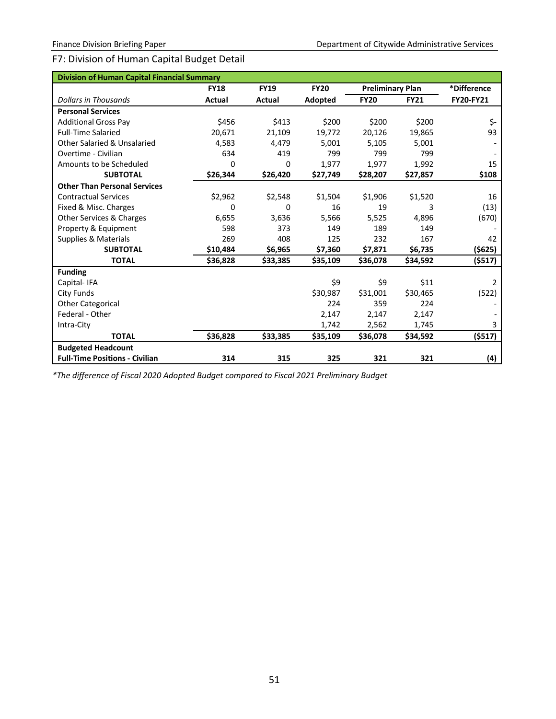# F7: Division of Human Capital Budget Detail

| <b>Division of Human Capital Financial Summary</b> |             |             |             |                         |             |                  |
|----------------------------------------------------|-------------|-------------|-------------|-------------------------|-------------|------------------|
|                                                    | <b>FY18</b> | <b>FY19</b> | <b>FY20</b> | <b>Preliminary Plan</b> |             | *Difference      |
| <b>Dollars in Thousands</b>                        | Actual      | Actual      | Adopted     | <b>FY20</b>             | <b>FY21</b> | <b>FY20-FY21</b> |
| <b>Personal Services</b>                           |             |             |             |                         |             |                  |
| <b>Additional Gross Pay</b>                        | \$456       | \$413       | \$200       | \$200                   | \$200       | \$-              |
| <b>Full-Time Salaried</b>                          | 20,671      | 21,109      | 19,772      | 20,126                  | 19,865      | 93               |
| <b>Other Salaried &amp; Unsalaried</b>             | 4,583       | 4,479       | 5,001       | 5,105                   | 5,001       |                  |
| Overtime - Civilian                                | 634         | 419         | 799         | 799                     | 799         |                  |
| Amounts to be Scheduled                            | 0           | 0           | 1,977       | 1,977                   | 1,992       | 15               |
| <b>SUBTOTAL</b>                                    | \$26,344    | \$26,420    | \$27,749    | \$28,207                | \$27,857    | \$108            |
| <b>Other Than Personal Services</b>                |             |             |             |                         |             |                  |
| <b>Contractual Services</b>                        | \$2,962     | \$2,548     | \$1,504     | \$1,906                 | \$1,520     | 16               |
| Fixed & Misc. Charges                              | 0           | 0           | 16          | 19                      | 3           | (13)             |
| <b>Other Services &amp; Charges</b>                | 6,655       | 3,636       | 5,566       | 5,525                   | 4,896       | (670)            |
| Property & Equipment                               | 598         | 373         | 149         | 189                     | 149         |                  |
| Supplies & Materials                               | 269         | 408         | 125         | 232                     | 167         | 42               |
| <b>SUBTOTAL</b>                                    | \$10,484    | \$6,965     | \$7,360     | \$7,871                 | \$6,735     | ( \$625)         |
| <b>TOTAL</b>                                       | \$36,828    | \$33,385    | \$35,109    | \$36,078                | \$34,592    | (\$517)          |
| <b>Funding</b>                                     |             |             |             |                         |             |                  |
| Capital-IFA                                        |             |             | \$9         | \$9                     | \$11        | $\overline{2}$   |
| <b>City Funds</b>                                  |             |             | \$30,987    | \$31,001                | \$30,465    | (522)            |
| <b>Other Categorical</b>                           |             |             | 224         | 359                     | 224         |                  |
| Federal - Other                                    |             |             | 2,147       | 2,147                   | 2,147       |                  |
| Intra-City                                         |             |             | 1,742       | 2,562                   | 1,745       | 3                |
| <b>TOTAL</b>                                       | \$36,828    | \$33,385    | \$35,109    | \$36,078                | \$34,592    | (5517)           |
| <b>Budgeted Headcount</b>                          |             |             |             |                         |             |                  |
| <b>Full-Time Positions - Civilian</b>              | 314         | 315         | 325         | 321                     | 321         | (4)              |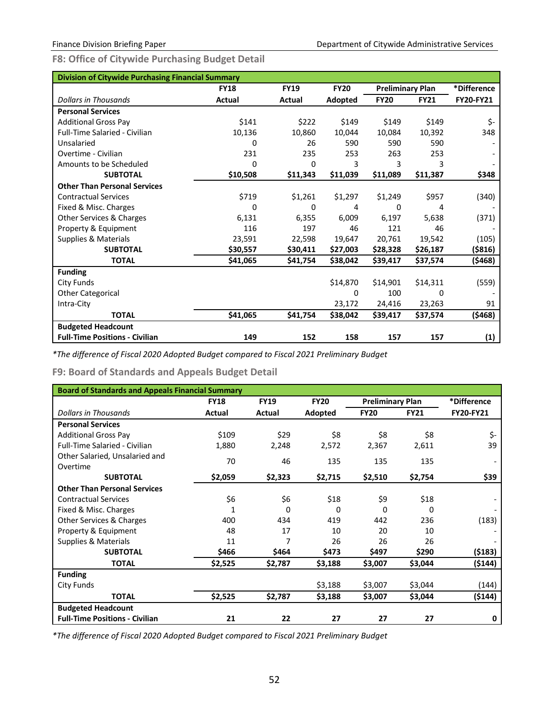<span id="page-54-0"></span>**F8: Office of Citywide Purchasing Budget Detail**

| <b>Division of Citywide Purchasing Financial Summary</b> |               |             |             |                         |             |                  |  |  |  |  |  |
|----------------------------------------------------------|---------------|-------------|-------------|-------------------------|-------------|------------------|--|--|--|--|--|
|                                                          | <b>FY18</b>   | <b>FY19</b> | <b>FY20</b> | <b>Preliminary Plan</b> |             | *Difference      |  |  |  |  |  |
| <b>Dollars in Thousands</b>                              | <b>Actual</b> | Actual      | Adopted     | <b>FY20</b>             | <b>FY21</b> | <b>FY20-FY21</b> |  |  |  |  |  |
| <b>Personal Services</b>                                 |               |             |             |                         |             |                  |  |  |  |  |  |
| <b>Additional Gross Pay</b>                              | \$141         | \$222       | \$149       | \$149                   | \$149       | \$-              |  |  |  |  |  |
| <b>Full-Time Salaried - Civilian</b>                     | 10,136        | 10,860      | 10,044      | 10,084                  | 10,392      | 348              |  |  |  |  |  |
| Unsalaried                                               | 0             | 26          | 590         | 590                     | 590         |                  |  |  |  |  |  |
| Overtime - Civilian                                      | 231           | 235         | 253         | 263                     | 253         |                  |  |  |  |  |  |
| Amounts to be Scheduled                                  | $\Omega$      | 0           | 3           | 3                       | 3           |                  |  |  |  |  |  |
| <b>SUBTOTAL</b>                                          | \$10,508      | \$11,343    | \$11,039    | \$11,089                | \$11,387    | \$348            |  |  |  |  |  |
| <b>Other Than Personal Services</b>                      |               |             |             |                         |             |                  |  |  |  |  |  |
| <b>Contractual Services</b>                              | \$719         | \$1,261     | \$1,297     | \$1,249                 | \$957       | (340)            |  |  |  |  |  |
| Fixed & Misc. Charges                                    | $\Omega$      | 0           | 4           | 0                       | 4           |                  |  |  |  |  |  |
| Other Services & Charges                                 | 6,131         | 6,355       | 6,009       | 6,197                   | 5,638       | (371)            |  |  |  |  |  |
| Property & Equipment                                     | 116           | 197         | 46          | 121                     | 46          |                  |  |  |  |  |  |
| Supplies & Materials                                     | 23,591        | 22,598      | 19,647      | 20,761                  | 19,542      | (105)            |  |  |  |  |  |
| <b>SUBTOTAL</b>                                          | \$30,557      | \$30,411    | \$27,003    | \$28,328                | \$26,187    | (\$816)          |  |  |  |  |  |
| <b>TOTAL</b>                                             | \$41,065      | \$41,754    | \$38,042    | \$39,417                | \$37,574    | (\$468)          |  |  |  |  |  |
| <b>Funding</b>                                           |               |             |             |                         |             |                  |  |  |  |  |  |
| City Funds                                               |               |             | \$14,870    | \$14,901                | \$14,311    | (559)            |  |  |  |  |  |
| <b>Other Categorical</b>                                 |               |             | 0           | 100                     | 0           |                  |  |  |  |  |  |
| Intra-City                                               |               |             | 23,172      | 24,416                  | 23,263      | 91               |  |  |  |  |  |
| <b>TOTAL</b>                                             | \$41,065      | \$41,754    | \$38,042    | \$39,417                | \$37,574    | (\$468)          |  |  |  |  |  |
| <b>Budgeted Headcount</b>                                |               |             |             |                         |             |                  |  |  |  |  |  |
| <b>Full-Time Positions - Civilian</b>                    | 149           | 152         | 158         | 157                     | 157         | (1)              |  |  |  |  |  |

*\*The difference of Fiscal 2020 Adopted Budget compared to Fiscal 2021 Preliminary Budget*

<span id="page-54-1"></span>**F9: Board of Standards and Appeals Budget Detail** 

| <b>Board of Standards and Appeals Financial Summary</b> |             |             |             |                         |             |                  |
|---------------------------------------------------------|-------------|-------------|-------------|-------------------------|-------------|------------------|
|                                                         | <b>FY18</b> | <b>FY19</b> | <b>FY20</b> | <b>Preliminary Plan</b> |             | *Difference      |
| <b>Dollars in Thousands</b>                             | Actual      | Actual      | Adopted     | <b>FY20</b>             | <b>FY21</b> | <b>FY20-FY21</b> |
| <b>Personal Services</b>                                |             |             |             |                         |             |                  |
| <b>Additional Gross Pay</b>                             | \$109       | \$29        | \$8         | \$8                     | \$8         | \$-              |
| <b>Full-Time Salaried - Civilian</b>                    | 1,880       | 2,248       | 2,572       | 2,367                   | 2,611       | 39               |
| Other Salaried, Unsalaried and<br>Overtime              | 70          | 46          | 135         | 135                     | 135         |                  |
| <b>SUBTOTAL</b>                                         | \$2,059     | \$2,323     | \$2,715     | \$2,510                 | \$2,754     | \$39             |
| <b>Other Than Personal Services</b>                     |             |             |             |                         |             |                  |
| <b>Contractual Services</b>                             | \$6         | \$6         | \$18        | \$9                     | \$18        |                  |
| Fixed & Misc. Charges                                   |             | $\Omega$    | 0           | 0                       | O           |                  |
| <b>Other Services &amp; Charges</b>                     | 400         | 434         | 419         | 442                     | 236         | (183)            |
| Property & Equipment                                    | 48          | 17          | 10          | 20                      | 10          |                  |
| Supplies & Materials                                    | 11          | 7           | 26          | 26                      | 26          |                  |
| <b>SUBTOTAL</b>                                         | \$466       | \$464       | \$473       | \$497                   | \$290       | (\$183)          |
| <b>TOTAL</b>                                            | \$2,525     | \$2,787     | \$3,188     | \$3,007                 | \$3,044     | (\$144)          |
| <b>Funding</b>                                          |             |             |             |                         |             |                  |
| City Funds                                              |             |             | \$3,188     | \$3,007                 | \$3,044     | (144)            |
| <b>TOTAL</b>                                            | \$2,525     | \$2,787     | \$3,188     | \$3,007                 | \$3,044     | (\$144)          |
| <b>Budgeted Headcount</b>                               |             |             |             |                         |             |                  |
| <b>Full-Time Positions - Civilian</b>                   | 21          | 22          | 27          | 27                      | 27          | 0                |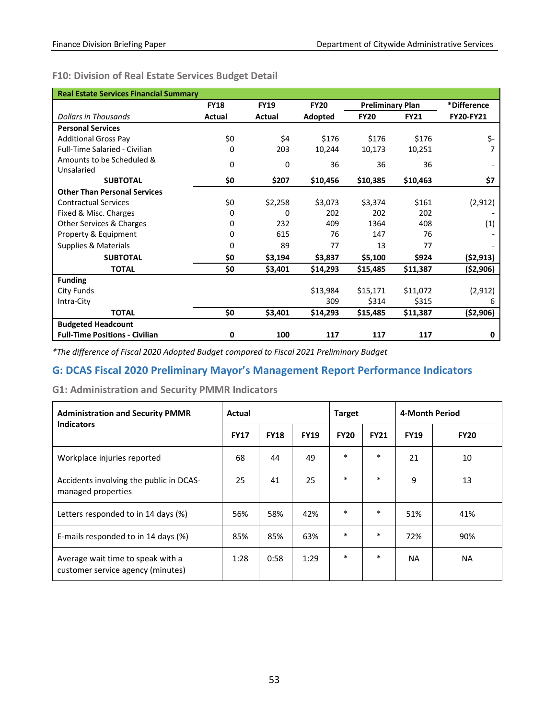# <span id="page-55-0"></span>**F10: Division of Real Estate Services Budget Detail**

| <b>Real Estate Services Financial Summary</b> |             |             |             |                         |             |             |
|-----------------------------------------------|-------------|-------------|-------------|-------------------------|-------------|-------------|
|                                               | <b>FY18</b> | <b>FY19</b> | <b>FY20</b> | <b>Preliminary Plan</b> |             | *Difference |
| <b>Dollars in Thousands</b>                   | Actual      | Actual      | Adopted     | <b>FY20</b>             | <b>FY21</b> | FY20-FY21   |
| <b>Personal Services</b>                      |             |             |             |                         |             |             |
| <b>Additional Gross Pay</b>                   | \$0         | \$4         | \$176       | \$176                   | \$176       | \$-         |
| <b>Full-Time Salaried - Civilian</b>          | 0           | 203         | 10,244      | 10,173                  | 10,251      | 7           |
| Amounts to be Scheduled &                     | 0           | $\Omega$    | 36          | 36                      | 36          |             |
| Unsalaried                                    |             |             |             |                         |             |             |
| <b>SUBTOTAL</b>                               | \$0         | \$207       | \$10,456    | \$10,385                | \$10,463    | \$7         |
| <b>Other Than Personal Services</b>           |             |             |             |                         |             |             |
| <b>Contractual Services</b>                   | \$0         | \$2,258     | \$3,073     | \$3,374                 | \$161       | (2, 912)    |
| Fixed & Misc. Charges                         | 0           | 0           | 202         | 202                     | 202         |             |
| Other Services & Charges                      | 0           | 232         | 409         | 1364                    | 408         | (1)         |
| Property & Equipment                          | 0           | 615         | 76          | 147                     | 76          |             |
| Supplies & Materials                          | 0           | 89          | 77          | 13                      | 77          |             |
| <b>SUBTOTAL</b>                               | \$0         | \$3,194     | \$3,837     | \$5,100                 | \$924       | (52, 913)   |
| <b>TOTAL</b>                                  | \$0         | \$3,401     | \$14,293    | \$15,485                | \$11,387    | ( \$2,906)  |
| <b>Funding</b>                                |             |             |             |                         |             |             |
| City Funds                                    |             |             | \$13,984    | \$15,171                | \$11,072    | (2, 912)    |
| Intra-City                                    |             |             | 309         | \$314                   | \$315       | 6           |
| <b>TOTAL</b>                                  | \$0         | \$3,401     | \$14,293    | \$15,485                | \$11,387    | (\$2,906)   |
| <b>Budgeted Headcount</b>                     |             |             |             |                         |             |             |
| <b>Full-Time Positions - Civilian</b>         | 0           | 100         | 117         | 117                     | 117         | 0           |

*\*The difference of Fiscal 2020 Adopted Budget compared to Fiscal 2021 Preliminary Budget*

# <span id="page-55-1"></span>**G: DCAS Fiscal 2020 Preliminary Mayor's Management Report Performance Indicators**

<span id="page-55-2"></span>**G1: Administration and Security PMMR Indicators**

| <b>Administration and Security PMMR</b><br><b>Indicators</b>           | Actual      |             |             | <b>Target</b> |             | 4-Month Period |             |  |
|------------------------------------------------------------------------|-------------|-------------|-------------|---------------|-------------|----------------|-------------|--|
|                                                                        | <b>FY17</b> | <b>FY18</b> | <b>FY19</b> | <b>FY20</b>   | <b>FY21</b> | <b>FY19</b>    | <b>FY20</b> |  |
| Workplace injuries reported                                            | 68          | 44          | 49          | $\ast$        | $\ast$      | 21             | 10          |  |
| Accidents involving the public in DCAS-<br>managed properties          | 25          | 41          | 25          | $\ast$        | $\ast$      | 9              | 13          |  |
| Letters responded to in 14 days (%)                                    | 56%         | 58%         | 42%         | $\ast$        | $\ast$      | 51%            | 41%         |  |
| E-mails responded to in 14 days (%)                                    | 85%         | 85%         | 63%         | *             | $\ast$      | 72%            | 90%         |  |
| Average wait time to speak with a<br>customer service agency (minutes) | 1:28        | 0:58        | 1:29        | $\ast$        | $\ast$      | <b>NA</b>      | NA.         |  |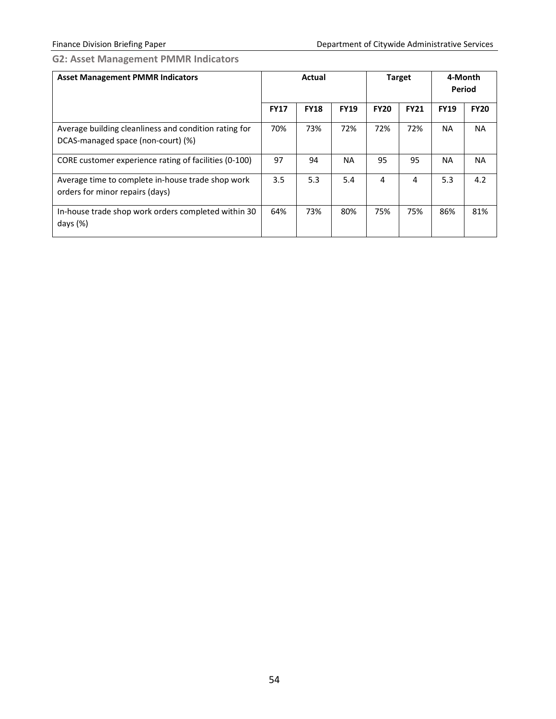# <span id="page-56-0"></span>**G2: Asset Management PMMR Indicators**

| <b>Asset Management PMMR Indicators</b>                                                     | Actual      |             | <b>Target</b> |             | 4-Month<br><b>Period</b> |             |             |
|---------------------------------------------------------------------------------------------|-------------|-------------|---------------|-------------|--------------------------|-------------|-------------|
|                                                                                             | <b>FY17</b> | <b>FY18</b> | <b>FY19</b>   | <b>FY20</b> | <b>FY21</b>              | <b>FY19</b> | <b>FY20</b> |
| Average building cleanliness and condition rating for<br>DCAS-managed space (non-court) (%) | 70%         | 73%         | 72%           | 72%         | 72%                      | <b>NA</b>   | <b>NA</b>   |
| CORE customer experience rating of facilities (0-100)                                       | 97          | 94          | <b>NA</b>     | 95          | 95                       | <b>NA</b>   | <b>NA</b>   |
| Average time to complete in-house trade shop work<br>orders for minor repairs (days)        | 3.5         | 5.3         | 5.4           | 4           | 4                        | 5.3         | 4.2         |
| In-house trade shop work orders completed within 30<br>days $(\%)$                          | 64%         | 73%         | 80%           | 75%         | 75%                      | 86%         | 81%         |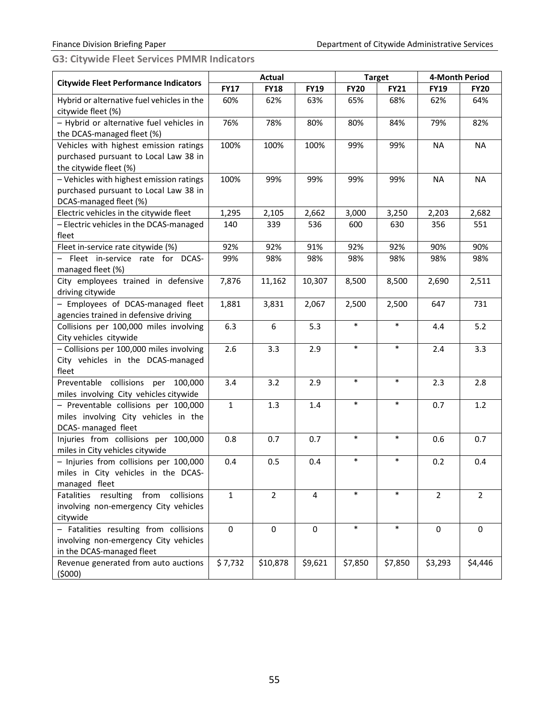<span id="page-57-0"></span>**G3: Citywide Fleet Services PMMR Indicators**

|                                                                                                              |              | <b>Actual</b>  |             |             | <b>Target</b> |                | 4-Month Period |
|--------------------------------------------------------------------------------------------------------------|--------------|----------------|-------------|-------------|---------------|----------------|----------------|
| <b>Citywide Fleet Performance Indicators</b>                                                                 | <b>FY17</b>  | <b>FY18</b>    | <b>FY19</b> | <b>FY20</b> | <b>FY21</b>   | <b>FY19</b>    | <b>FY20</b>    |
| Hybrid or alternative fuel vehicles in the<br>citywide fleet (%)                                             | 60%          | 62%            | 63%         | 65%         | 68%           | 62%            | 64%            |
| - Hybrid or alternative fuel vehicles in<br>the DCAS-managed fleet (%)                                       | 76%          | 78%            | 80%         | 80%         | 84%           | 79%            | 82%            |
| Vehicles with highest emission ratings<br>purchased pursuant to Local Law 38 in<br>the citywide fleet (%)    | 100%         | 100%           | 100%        | 99%         | 99%           | <b>NA</b>      | <b>NA</b>      |
| - Vehicles with highest emission ratings<br>purchased pursuant to Local Law 38 in<br>DCAS-managed fleet (%)  | 100%         | 99%            | 99%         | 99%         | 99%           | <b>NA</b>      | <b>NA</b>      |
| Electric vehicles in the citywide fleet                                                                      | 1,295        | 2,105          | 2,662       | 3,000       | 3,250         | 2,203          | 2,682          |
| - Electric vehicles in the DCAS-managed<br>fleet                                                             | 140          | 339            | 536         | 600         | 630           | 356            | 551            |
| Fleet in-service rate citywide (%)                                                                           | 92%          | 92%            | 91%         | 92%         | 92%           | 90%            | 90%            |
| - Fleet in-service rate for DCAS-<br>managed fleet (%)                                                       | 99%          | 98%            | 98%         | 98%         | 98%           | 98%            | 98%            |
| City employees trained in defensive<br>driving citywide                                                      | 7,876        | 11,162         | 10,307      | 8,500       | 8,500         | 2,690          | 2,511          |
| - Employees of DCAS-managed fleet<br>agencies trained in defensive driving                                   | 1,881        | 3,831          | 2,067       | 2,500       | 2,500         | 647            | 731            |
| Collisions per 100,000 miles involving<br>City vehicles citywide                                             | 6.3          | 6              | 5.3         | $\ast$      | $\ast$        | 4.4            | 5.2            |
| - Collisions per 100,000 miles involving<br>City vehicles in the DCAS-managed<br>fleet                       | 2.6          | 3.3            | 2.9         | $\ast$      | $\ast$        | 2.4            | 3.3            |
| Preventable collisions per 100,000<br>miles involving City vehicles citywide                                 | 3.4          | 3.2            | 2.9         | $\ast$      | $\ast$        | 2.3            | 2.8            |
| - Preventable collisions per 100,000<br>miles involving City vehicles in the<br>DCAS- managed fleet          | $\mathbf{1}$ | 1.3            | 1.4         | $\ast$      | $\ast$        | 0.7            | 1.2            |
| Injuries from collisions per 100,000<br>miles in City vehicles citywide                                      | 0.8          | 0.7            | 0.7         | $\ast$      | $\ast$        | 0.6            | 0.7            |
| - Injuries from collisions per 100,000<br>miles in City vehicles in the DCAS-<br>managed fleet               | 0.4          | 0.5            | 0.4         | $\ast$      | $\ast$        | 0.2            | 0.4            |
| resulting from collisions<br>Fatalities<br>involving non-emergency City vehicles<br>citywide                 | $\mathbf{1}$ | $\overline{2}$ | 4           | $\ast$      | $\ast$        | $\overline{2}$ | $\overline{2}$ |
| - Fatalities resulting from collisions<br>involving non-emergency City vehicles<br>in the DCAS-managed fleet | 0            | $\mathbf 0$    | 0           | $\ast$      | $\ast$        | $\mathbf 0$    | 0              |
| Revenue generated from auto auctions<br>(5000)                                                               | \$7,732      | \$10,878       | \$9,621     | \$7,850     | \$7,850       | \$3,293        | \$4,446        |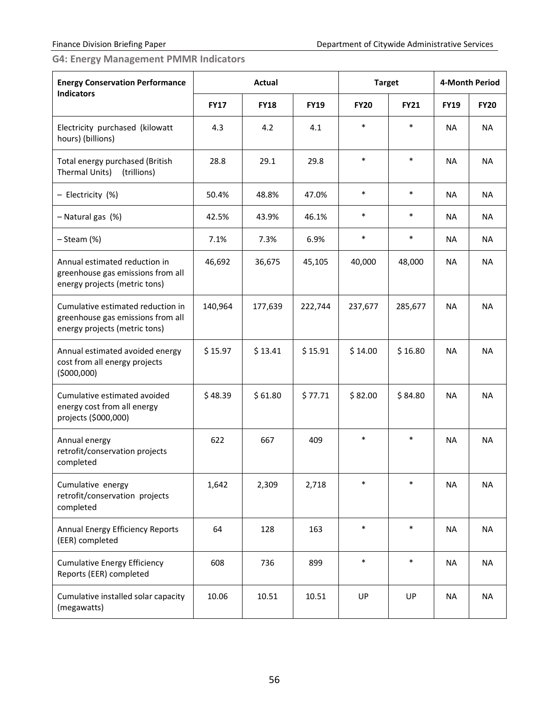<span id="page-58-0"></span>**G4: Energy Management PMMR Indicators**

| <b>Energy Conservation Performance</b>                                                                  |             | Actual      |             | <b>Target</b> |             |             | <b>4-Month Period</b> |
|---------------------------------------------------------------------------------------------------------|-------------|-------------|-------------|---------------|-------------|-------------|-----------------------|
| <b>Indicators</b>                                                                                       | <b>FY17</b> | <b>FY18</b> | <b>FY19</b> | <b>FY20</b>   | <b>FY21</b> | <b>FY19</b> | <b>FY20</b>           |
| Electricity purchased (kilowatt<br>hours) (billions)                                                    | 4.3         | 4.2         | 4.1         | $\ast$        | $\ast$      | <b>NA</b>   | <b>NA</b>             |
| Total energy purchased (British<br>Thermal Units)<br>(trillions)                                        | 28.8        | 29.1        | 29.8        | $\ast$        | $\ast$      | <b>NA</b>   | <b>NA</b>             |
| - Electricity (%)                                                                                       | 50.4%       | 48.8%       | 47.0%       | $\ast$        | $\ast$      | <b>NA</b>   | NA                    |
| - Natural gas (%)                                                                                       | 42.5%       | 43.9%       | 46.1%       | $\ast$        | $\ast$      | <b>NA</b>   | <b>NA</b>             |
| $-$ Steam $(\%)$                                                                                        | 7.1%        | 7.3%        | 6.9%        | $\ast$        | $\ast$      | <b>NA</b>   | NA                    |
| Annual estimated reduction in<br>greenhouse gas emissions from all<br>energy projects (metric tons)     | 46,692      | 36,675      | 45,105      | 40,000        | 48,000      | NA          | <b>NA</b>             |
| Cumulative estimated reduction in<br>greenhouse gas emissions from all<br>energy projects (metric tons) | 140,964     | 177,639     | 222,744     | 237,677       | 285,677     | <b>NA</b>   | NA.                   |
| Annual estimated avoided energy<br>cost from all energy projects<br>(5000,000)                          | \$15.97     | \$13.41     | \$15.91     | \$14.00       | \$16.80     | <b>NA</b>   | <b>NA</b>             |
| Cumulative estimated avoided<br>energy cost from all energy<br>projects (\$000,000)                     | \$48.39     | \$61.80     | \$77.71     | \$82.00       | \$84.80     | <b>NA</b>   | <b>NA</b>             |
| Annual energy<br>retrofit/conservation projects<br>completed                                            | 622         | 667         | 409         | $\ast$        | $\ast$      | <b>NA</b>   | <b>NA</b>             |
| Cumulative energy<br>retrofit/conservation projects<br>completed                                        | 1,642       | 2,309       | 2,718       | $\ast$        | $\ast$      | <b>NA</b>   | <b>NA</b>             |
| Annual Energy Efficiency Reports<br>(EER) completed                                                     | 64          | 128         | 163         | $\ast$        | $\ast$      | <b>NA</b>   | <b>NA</b>             |
| <b>Cumulative Energy Efficiency</b><br>Reports (EER) completed                                          | 608         | 736         | 899         | $\ast$        | $\ast$      | <b>NA</b>   | <b>NA</b>             |
| Cumulative installed solar capacity<br>(megawatts)                                                      | 10.06       | 10.51       | 10.51       | UP            | UP          | <b>NA</b>   | <b>NA</b>             |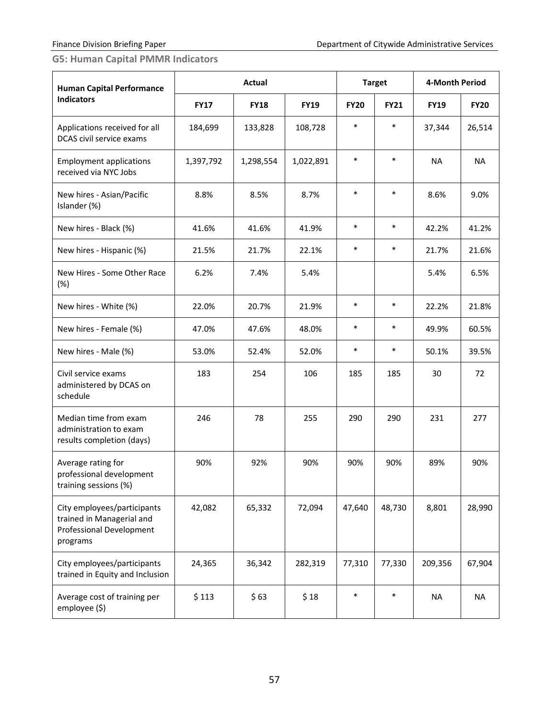# <span id="page-59-0"></span>**G5: Human Capital PMMR Indicators**

| <b>Human Capital Performance</b><br><b>Indicators</b>                                                   | Actual      |             |             | <b>Target</b> |             | 4-Month Period |             |
|---------------------------------------------------------------------------------------------------------|-------------|-------------|-------------|---------------|-------------|----------------|-------------|
|                                                                                                         | <b>FY17</b> | <b>FY18</b> | <b>FY19</b> | <b>FY20</b>   | <b>FY21</b> | <b>FY19</b>    | <b>FY20</b> |
| Applications received for all<br>DCAS civil service exams                                               | 184,699     | 133,828     | 108,728     | $\ast$        | $\ast$      | 37,344         | 26,514      |
| <b>Employment applications</b><br>received via NYC Jobs                                                 | 1,397,792   | 1,298,554   | 1,022,891   | $\ast$        | $\ast$      | <b>NA</b>      | <b>NA</b>   |
| New hires - Asian/Pacific<br>Islander (%)                                                               | 8.8%        | 8.5%        | 8.7%        | $\ast$        | $\ast$      | 8.6%           | 9.0%        |
| New hires - Black (%)                                                                                   | 41.6%       | 41.6%       | 41.9%       | $\ast$        | $\ast$      | 42.2%          | 41.2%       |
| New hires - Hispanic (%)                                                                                | 21.5%       | 21.7%       | 22.1%       | $\ast$        | $\ast$      | 21.7%          | 21.6%       |
| New Hires - Some Other Race<br>(%)                                                                      | 6.2%        | 7.4%        | 5.4%        |               |             | 5.4%           | 6.5%        |
| New hires - White (%)                                                                                   | 22.0%       | 20.7%       | 21.9%       | $\ast$        | $\ast$      | 22.2%          | 21.8%       |
| New hires - Female (%)                                                                                  | 47.0%       | 47.6%       | 48.0%       | $\ast$        | $\ast$      | 49.9%          | 60.5%       |
| New hires - Male (%)                                                                                    | 53.0%       | 52.4%       | 52.0%       | $\ast$        | $\ast$      | 50.1%          | 39.5%       |
| Civil service exams<br>administered by DCAS on<br>schedule                                              | 183         | 254         | 106         | 185           | 185         | 30             | 72          |
| Median time from exam<br>administration to exam<br>results completion (days)                            | 246         | 78          | 255         | 290           | 290         | 231            | 277         |
| Average rating for<br>professional development<br>training sessions (%)                                 | 90%         | 92%         | 90%         | 90%           | 90%         | 89%            | 90%         |
| City employees/participants<br>trained in Managerial and<br><b>Professional Development</b><br>programs | 42,082      | 65,332      | 72,094      | 47,640        | 48,730      | 8,801          | 28,990      |
| City employees/participants<br>trained in Equity and Inclusion                                          | 24,365      | 36,342      | 282,319     | 77,310        | 77,330      | 209,356        | 67,904      |
| Average cost of training per<br>employee (\$)                                                           | \$113       | \$63        | \$18        | $\ast$        | $\ast$      | <b>NA</b>      | <b>NA</b>   |